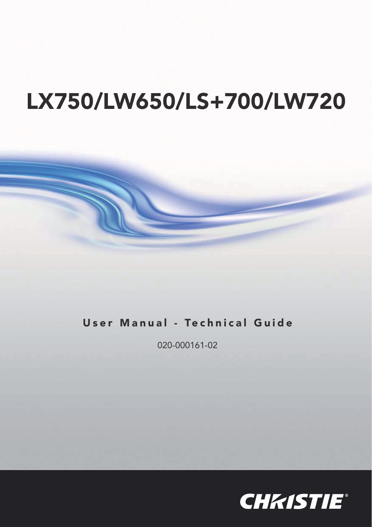# **LX750/LW650/LS+700/LW720**

## **User Manual - Technical Guide**

020-000161-02

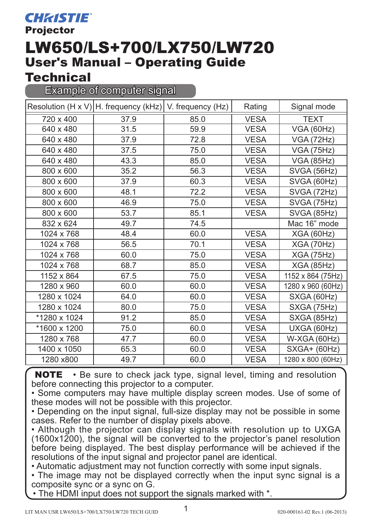**Projector** 

## LW650/LS+700/LX750/LW720 User's Manual – Operating Guide

### **Technical**

Example of computer signal

|              | Resolution (H x V) H. frequency (kHz) V. frequency (Hz) |      | Rating      | Signal mode       |
|--------------|---------------------------------------------------------|------|-------------|-------------------|
| 720 x 400    | 37.9                                                    | 85.0 | <b>VESA</b> | <b>TEXT</b>       |
| 640 x 480    | 31.5                                                    | 59.9 | <b>VESA</b> | <b>VGA (60Hz)</b> |
| 640 x 480    | 37.9                                                    | 72.8 | <b>VESA</b> | VGA (72Hz)        |
| 640 x 480    | 37.5                                                    | 75.0 | <b>VESA</b> | <b>VGA (75Hz)</b> |
| 640 x 480    | 43.3                                                    | 85.0 | <b>VESA</b> | <b>VGA (85Hz)</b> |
| 800 x 600    | 35.2                                                    | 56.3 | <b>VESA</b> | SVGA (56Hz)       |
| 800 x 600    | 37.9                                                    | 60.3 | <b>VESA</b> | SVGA (60Hz)       |
| 800 x 600    | 48.1                                                    | 72.2 | <b>VESA</b> | SVGA (72Hz)       |
| 800 x 600    | 46.9                                                    | 75.0 | <b>VESA</b> | SVGA (75Hz)       |
| 800 x 600    | 53.7                                                    | 85.1 | <b>VESA</b> | SVGA (85Hz)       |
| 832 x 624    | 49.7                                                    | 74.5 |             | Mac 16" mode      |
| 1024 x 768   | 48.4                                                    | 60.0 | <b>VESA</b> | XGA(60Hz)         |
| 1024 x 768   | 56.5                                                    | 70.1 | <b>VESA</b> | XGA (70Hz)        |
| 1024 x 768   | 60.0                                                    | 75.0 | <b>VESA</b> | <b>XGA (75Hz)</b> |
| 1024 x 768   | 68.7                                                    | 85.0 | <b>VESA</b> | <b>XGA (85Hz)</b> |
| 1152 x 864   | 67.5                                                    | 75.0 | <b>VESA</b> | 1152 x 864 (75Hz) |
| 1280 x 960   | 60.0                                                    | 60.0 | <b>VESA</b> | 1280 x 960 (60Hz) |
| 1280 x 1024  | 64.0                                                    | 60.0 | <b>VESA</b> | SXGA (60Hz)       |
| 1280 x 1024  | 80.0                                                    | 75.0 | <b>VESA</b> | SXGA (75Hz)       |
| *1280 x 1024 | 91.2                                                    | 85.0 | <b>VESA</b> | SXGA (85Hz)       |
| *1600 x 1200 | 75.0                                                    | 60.0 | <b>VESA</b> | UXGA (60Hz)       |
| 1280 x 768   | 47.7                                                    | 60.0 | <b>VESA</b> | W-XGA (60Hz)      |
| 1400 x 1050  | 65.3                                                    | 60.0 | <b>VESA</b> | SXGA+ (60Hz)      |
| 1280 x800    | 49.7                                                    | 60.0 | <b>VESA</b> | 1280 x 800 (60Hz) |

**NOTE** • Be sure to check jack type, signal level, timing and resolution before connecting this projector to a computer.

• Some computers may have multiple display screen modes. Use of some of these modes will not be possible with this projector.

• Depending on the input signal, full-size display may not be possible in some cases. Refer to the number of display pixels above.

• Although the projector can display signals with resolution up to UXGA (1600x1200), the signal will be converted to the projector's panel resolution before being displayed. The best display performance will be achieved if the resolutions of the input signal and projector panel are identical.

• Automatic adjustment may not function correctly with some input signals.

• The image may not be displayed correctly when the input sync signal is a composite sync or a sync on G.

The HDMI input does not support the signals marked with  $*$ .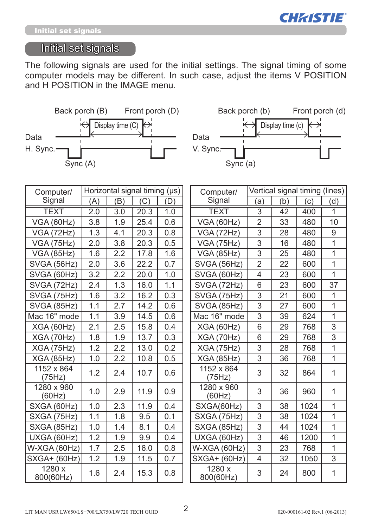

### Initial set signals

The following signals are used for the initial settings. The signal timing of some computer models may be different. In such case, adjust the items V POSITION and H POSITION in the IMAGE menu.





| Computer/            | Horizontal signal timing (µs) |         |      |     |  | Computer/            | Vertical signal timing (lines) |     |      |     |
|----------------------|-------------------------------|---------|------|-----|--|----------------------|--------------------------------|-----|------|-----|
| Signal               | (A)                           | (B)     | (C)  | (D) |  | Signal               | (a)                            | (b) | (c)  | (d) |
| <b>TEXT</b>          | 2.0                           | 3.0     | 20.3 | 1.0 |  | <b>TEXT</b>          | $\overline{3}$                 | 42  | 400  | 1   |
| <b>VGA (60Hz)</b>    | 3.8                           | 1.9     | 25.4 | 0.6 |  | <b>VGA (60Hz)</b>    | $\overline{2}$                 | 33  | 480  | 10  |
| VGA (72Hz)           | 1.3                           | 4.1     | 20.3 | 0.8 |  | VGA (72Hz)           | 3                              | 28  | 480  | 9   |
| <b>VGA (75Hz)</b>    | 2.0                           | 3.8     | 20.3 | 0.5 |  | <b>VGA (75Hz)</b>    | 3                              | 16  | 480  | 1   |
| <b>VGA (85Hz)</b>    | 1.6                           | 2.2     | 17.8 | 1.6 |  | <b>VGA (85Hz)</b>    | 3                              | 25  | 480  | 1   |
| SVGA (56Hz)          | 2.0                           | 3.6     | 22.2 | 0.7 |  | SVGA (56Hz)          | $\overline{2}$                 | 22  | 600  | 1   |
| SVGA (60Hz)          | 3.2                           | 2.2     | 20.0 | 1.0 |  | SVGA (60Hz)          | 4                              | 23  | 600  | 1   |
| SVGA (72Hz)          | 2.4                           | 1.3     | 16.0 | 1.1 |  | SVGA (72Hz)          | 6                              | 23  | 600  | 37  |
| SVGA (75Hz)          | 1.6                           | 3.2     | 16.2 | 0.3 |  | SVGA (75Hz)          | 3                              | 21  | 600  | 1   |
| SVGA (85Hz)          | 1.1                           | 2.7     | 14.2 | 0.6 |  | SVGA (85Hz)          | 3                              | 27  | 600  | 1   |
| Mac 16" mode         | 1.1                           | 3.9     | 14.5 | 0.6 |  | Mac 16" mode         | 3                              | 39  | 624  | 1   |
| XGA(60Hz)            | 2.1                           | 2.5     | 15.8 | 0.4 |  | <b>XGA (60Hz)</b>    | 6                              | 29  | 768  | 3   |
| <b>XGA (70Hz)</b>    | 1.8                           | 1.9     | 13.7 | 0.3 |  | <b>XGA (70Hz)</b>    | 6                              | 29  | 768  | 3   |
| <b>XGA (75Hz)</b>    | 1.2                           | 2.2     | 13.0 | 0.2 |  | <b>XGA (75Hz)</b>    | 3                              | 28  | 768  | 1   |
| <b>XGA (85Hz)</b>    | 1.0                           | $2.2\,$ | 10.8 | 0.5 |  | <b>XGA (85Hz)</b>    | 3                              | 36  | 768  | 1   |
| 1152 x 864<br>(75Hz) | 1.2                           | 2.4     | 10.7 | 0.6 |  | 1152 x 864<br>(75Hz) | 3                              | 32  | 864  | 1   |
| 1280 x 960<br>(60Hz) | 1.0                           | 2.9     | 11.9 | 0.9 |  | 1280 x 960<br>(60Hz) | 3                              | 36  | 960  | 1   |
| SXGA (60Hz)          | 1.0                           | 2.3     | 11.9 | 0.4 |  | SXGA(60Hz)           | 3                              | 38  | 1024 | 1   |
| SXGA (75Hz)          | 1.1                           | 1.8     | 9.5  | 0.1 |  | SXGA (75Hz)          | 3                              | 38  | 1024 | 1   |
| SXGA (85Hz)          | 1.0                           | 1.4     | 8.1  | 0.4 |  | SXGA (85Hz)          | $\overline{3}$                 | 44  | 1024 | 1   |
| UXGA (60Hz)          | 1.2                           | 1.9     | 9.9  | 0.4 |  | UXGA (60Hz)          | 3                              | 46  | 1200 | 1   |
| W-XGA (60Hz)         | 1.7                           | 2.5     | 16.0 | 0.8 |  | W-XGA (60Hz)         | 3                              | 23  | 768  | 1   |
| $SXGA+ (60Hz)$       | 1.2                           | 1.9     | 11.5 | 0.7 |  | SXGA+ (60Hz)         | 4                              | 32  | 1050 | 3   |
| 1280 x<br>800(60Hz)  | 1.6                           | 2.4     | 15.3 | 0.8 |  | 1280x<br>800(60Hz)   | 3                              | 24  | 800  | 1   |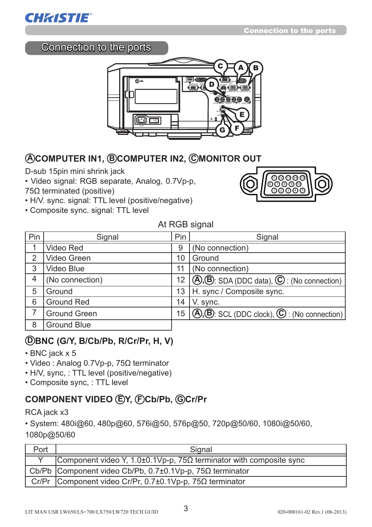

### Connection to the ports



### **A COMPUTER IN1, B COMPUTER IN2, C MONITOR OUT**

D-sub 15pin mini shrink jack

- Video signal: RGB separate, Analog, 0.7Vp-p, 75Ω terminated (positive)
- H/V. sync. signal: TTL level (positive/negative)
- Composite sync. signal: TTL level



#### At RGB signal

| Pin | Signal          |    | Signal                                                                                |
|-----|-----------------|----|---------------------------------------------------------------------------------------|
|     | Video Red       | 9  | (No connection)                                                                       |
| 2   | Video Green     | 10 | Ground                                                                                |
| 3   | Video Blue      | 11 | (No connection)                                                                       |
| 4   | (No connection) | 12 | $(\bigcirc$ , $(\bigcirc$ , SDA (DDC data), $\bigcirc$ : (No connection)              |
| 5   | Ground          | 13 | H. sync / Composite sync.                                                             |
| 6   | Ground Red      | 14 | V. sync.                                                                              |
| 7   | Ground Green    | 15 | $(\bigcirc$ , $(\bigcirc$ , $(\bigcirc$ SCL (DDC clock), $\bigcirc$ : (No connection) |
| 8   | Ground Blue     |    |                                                                                       |

#### **D BNC (G/Y, B/Cb/Pb, R/Cr/Pr, H, V)**

- BNC jack x 5
- Video : Analog 0.7Vp-p, 75Ω terminator
- H/V, sync, : TTL level (positive/negative)
- Composite sync, : TTL level

### **COMPONENT VIDEO E Y, F Cb/Pb, G Cr/Pr**

RCA jack x3

• System: 480i@60, 480p@60, 576i@50, 576p@50, 720p@50/60, 1080i@50/60,

1080p@50/60

| Port | Signal                                                                           |
|------|----------------------------------------------------------------------------------|
|      | Component video Y, 1.0 $\pm$ 0.1Vp-p, 75 $\Omega$ terminator with composite sync |
|      | Cb/Pb Component video Cb/Pb, $0.7\pm0.1$ Vp-p, $75\Omega$ terminator             |
|      | Cr/Pr Component video Cr/Pr, 0.7±0.1Vp-p, 75 $\Omega$ terminator                 |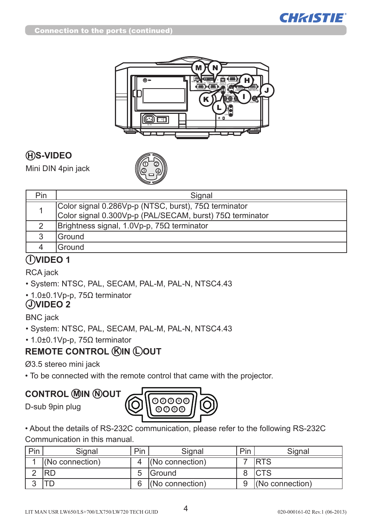



### **H S-VIDEO**

Mini DIN 4pin jack



| Pin.                                   | Signal                                                   |
|----------------------------------------|----------------------------------------------------------|
|                                        | Color signal 0.286Vp-p (NTSC, burst), 75Ω terminator     |
|                                        | Color signal 0.300Vp-p (PAL/SECAM, burst) 75Ω terminator |
|                                        | Brightness signal, 1.0Vp-p, $75\Omega$ terminator        |
| 3                                      | Ground                                                   |
|                                        | Ground                                                   |
| $\mathbf{r} = \mathbf{r} + \mathbf{r}$ |                                                          |

### **I VIDEO 1**

RCA jack

- System: NTSC, PAL, SECAM, PAL-M, PAL-N, NTSC4.43
- 1.0±0.1Vp-p, 75Ω terminator

### **J VIDEO 2**

BNC jack

- System: NTSC, PAL, SECAM, PAL-M, PAL-N, NTSC4.43
- 1.0±0.1Vp-p, 75Ω terminator

### **REMOTE CONTROL (RIN C)OUT**

Ø3.5 stereo mini jack

• To be connected with the remote control that came with the projector.

### **CONTROL M IN N OUT**

D-sub 9pin plug



• About the details of RS-232C communication, please refer to the following RS-232C Communication in this manual.

| Pin | Signal          | Pin | Signal          | Pin | Siɑnal          |
|-----|-----------------|-----|-----------------|-----|-----------------|
|     | (No connection) |     | (No connection) |     | <b>IRTS</b>     |
|     |                 |     | <b>IGround</b>  |     |                 |
|     |                 |     | (No connection) |     | (No connection) |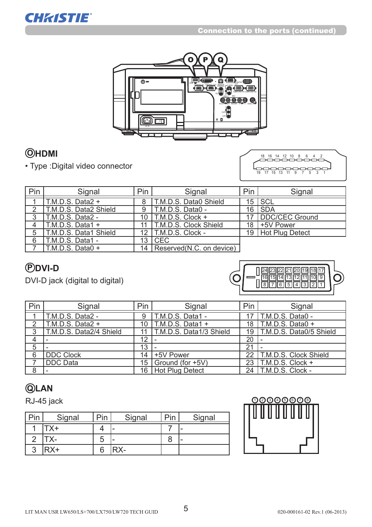

### **O HDMI**

**CHRISTIE®** 

• Type :Digital video connector

19 17 15 13 11 9 7 5 3 1 18 16 14 12 10 8 6 4 2

| Pin | Signal                | Pin | Signal                         | <b>Pin</b> | Signal               |
|-----|-----------------------|-----|--------------------------------|------------|----------------------|
|     | $T.M.D.S. Data2 +$    | 8   | T.M.D.S. Data0 Shield          |            | $15$ SCL             |
| າ   | T.M.D.S. Data2 Shield | 9   | I T.M.D.S. Data0 -             |            | 16 SDA               |
| 3   | T.M.D.S. Data2 -      |     | 10 $\vert$ T.M.D.S. Clock +    |            | 17 DDC/CEC Ground    |
|     | $T.M.D.S. Data1 +$    |     | <b>T.M.D.S. Clock Shield</b>   | 18         | 1+5V Power           |
| 5   | T.M.D.S. Data1 Shield |     | 12   T.M.D.S. Clock -          |            | 19   Hot Plug Detect |
| 6   | T.M.D.S. Data1 -      | 13  | <b>ICEC</b>                    |            |                      |
|     | $T.M.D.S. Data0 +$    |     | 14   Reserved (N.C. on device) |            |                      |

### **P DVI-D**

DVI-D jack (digital to digital)



| Pin | Signal                  | Pin               | Signal                  | Pin | Signal                   |
|-----|-------------------------|-------------------|-------------------------|-----|--------------------------|
|     | T.M.D.S. Data2 -        | 9                 | T.M.D.S. Data1 -        |     | T.M.D.S. Data0 -         |
| ↷   | $T.M.D.S. Data2 +$      | 10                | T.M.D.S. Data1 +        | 18  | $T.M.D.S. Data0 +$       |
| 3   | T.M.D.S. Data2/4 Shield |                   | T.M.D.S. Data1/3 Shield | 19  | T.M.D.S. Data0/5 Shield  |
| 4   |                         | $12 \overline{ }$ |                         | 20  |                          |
| 5   |                         | 13                |                         | 21  |                          |
| 6   | <b>DDC Clock</b>        | 14                | +5V Power               |     | 22 T.M.D.S. Clock Shield |
|     | <b>DDC</b> Data         | 15                | Ground (for +5V)        | 23  | T.M.D.S. Clock +         |
| 8   |                         |                   | 16   Hot Plug Detect    |     | $24$   T.M.D.S. Clock -  |

### **Q LAN**

RJ-45 jack

| in | Signal | Pin | Signal | Din | Signal |
|----|--------|-----|--------|-----|--------|
|    | $X^+$  |     |        |     |        |
|    |        | 5   |        | 8   |        |
| ົ  | +XF    | 6   | RX-    |     |        |

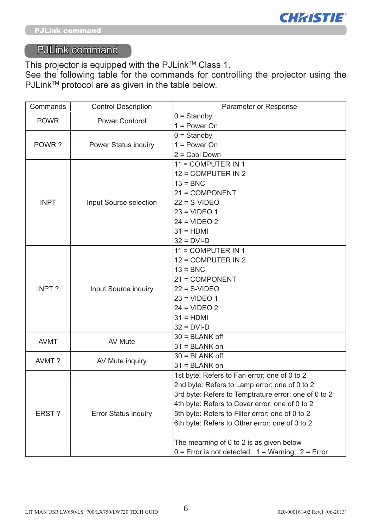

### PJLink command

This projector is equipped with the PJLink™ Class 1.

See the following table for the commands for controlling the projector using the PJLink<sup>™</sup> protocol are as given in the table below.

| Commands    | <b>Control Description</b> | Parameter or Response                                   |
|-------------|----------------------------|---------------------------------------------------------|
| <b>POWR</b> | Power Contorol             | $0 =$ Standby                                           |
|             |                            | $1 = Power On$                                          |
|             |                            | $0 =$ Standby                                           |
| POWR?       | Power Status inquiry       | $1 = Power On$                                          |
|             |                            | 2 = Cool Down                                           |
|             |                            | 11 = COMPUTER IN 1                                      |
|             |                            | 12 = COMPUTER IN 2                                      |
|             |                            | $13 = BNC$                                              |
|             |                            | 21 = COMPONENT                                          |
| <b>INPT</b> | Input Source selection     | $22 = S-VIDEO$                                          |
|             |                            | $23 = VIDEO 1$                                          |
|             |                            | $24 = VIDEO 2$                                          |
|             |                            | $31 = HDMI$                                             |
|             |                            | $32 = DVI-D$                                            |
|             |                            | 11 = COMPUTER IN 1                                      |
|             | Input Source inquiry       | 12 = COMPUTER IN 2                                      |
|             |                            | $13 = BNC$                                              |
|             |                            | 21 = COMPONENT                                          |
| INPT?       |                            | $22 = S-VIDEO$                                          |
|             |                            | $23 = VIDEO 1$                                          |
|             |                            | $24 = VIDEO2$                                           |
|             |                            | $31 = HDMI$                                             |
|             |                            | $32 = DVI-D$                                            |
| <b>AVMT</b> | AV Mute                    | $30 = BLANK$ off                                        |
|             |                            | $31 = BLANK$ on                                         |
| AVMT?       | AV Mute inquiry            | $30 = BLANK$ off                                        |
|             |                            | $31 = BLANK$ on                                         |
|             |                            | 1st byte: Refers to Fan error; one of 0 to 2            |
|             |                            | 2nd byte: Refers to Lamp error; one of 0 to 2           |
|             |                            | 3rd byte: Refers to Temptrature error; one of 0 to 2    |
|             |                            | 4th byte: Refers to Cover error; one of 0 to 2          |
| ERST?       | Error Status inquiry       | 5th byte: Refers to Filter error; one of 0 to 2         |
|             |                            | 6th byte: Refers to Other error; one of 0 to 2          |
|             |                            |                                                         |
|             |                            | The mearning of 0 to 2 is as given below                |
|             |                            | $0 =$ Error is not detected; $1 =$ Warning; $2 =$ Error |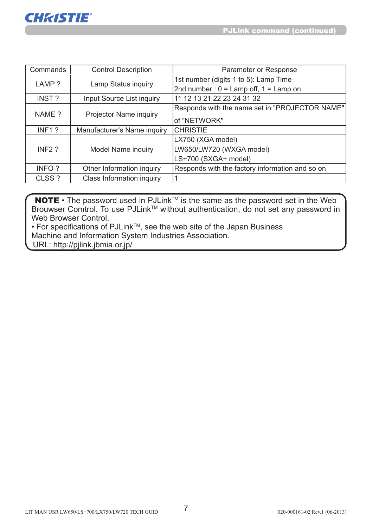

| Commands           | <b>Control Description</b>  | Parameter or Response                           |
|--------------------|-----------------------------|-------------------------------------------------|
| LAMP?              | Lamp Status inquiry         | 1st number (digits 1 to 5): Lamp Time           |
|                    |                             | 2nd number: $0 =$ Lamp off, $1 =$ Lamp on       |
| INST?              | Input Source List inquiry   | 11 12 13 21 22 23 24 31 32                      |
|                    |                             | Responds with the name set in "PROJECTOR NAME"  |
| NAME ?             | Projector Name inquiry      | of "NETWORK"                                    |
| INF <sub>1</sub> ? | Manufacturer's Name inquiry | ICHRISTIE                                       |
|                    |                             | LX750 (XGA model)                               |
| INF <sub>2</sub> ? | Model Name inquiry          | LW650/LW720 (WXGA model)                        |
|                    |                             | LS+700 (SXGA+ model)                            |
| INFO?              | Other Information inquiry   | Responds with the factory information and so on |
| CLSS?              | Class Information inquiry   |                                                 |

**NOTE** • The password used in PJLink<sup>TM</sup> is the same as the password set in the Web Brouwser Comtrol. To use PJLink™ without authentication, do not set any password in Web Browser Control.

• For specifications of PJLinkTM, see the web site of the Japan Business Machine and Information System Industries Association.

URL: http://pjlink.jbmia.or.jp/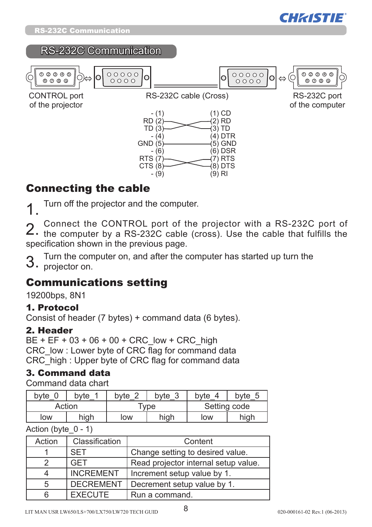



#### RS-232C Communication



### Connecting the cable

1 Turn off the projector and the computer.

2. Connect the CONTROL port of the projector with a RS-232C port of the computer by a RS-232C cable (cross). Use the cable that fulfills the specification shown in the previous page.

Turn the computer on, and after the computer has started up turn the 3. projector on.

### Communications setting

19200bps, 8N1

#### 1. Protocol

Consist of header (7 bytes) + command data (6 bytes).

#### 2. Header

 $BE + EF + 03 + 06 + 00 + CRC$  low + CRC high CRC low : Lower byte of CRC flag for command data CRC\_high : Upper byte of CRC flag for command data

#### 3. Command data

Command data chart

| bvte   | bvte | bvte | ົ<br>byte<br>ື      | byte         | bvte |  |
|--------|------|------|---------------------|--------------|------|--|
| Action |      |      | $^{\mathsf{T}}$ vpe | Setting code |      |  |
| low    | high | low  | high                | low          | high |  |

Action (byte  $0 - 1$ )

| Action | Classification   | Content                              |
|--------|------------------|--------------------------------------|
|        | <b>SFT</b>       | Change setting to desired value.     |
| 2      | <b>GFT</b>       | Read projector internal setup value. |
|        | <b>INCREMENT</b> | Increment setup value by 1.          |
| 5      | <b>DECREMENT</b> | Decrement setup value by 1.          |
| 6      | <b>FXFCUTF</b>   | Run a command.                       |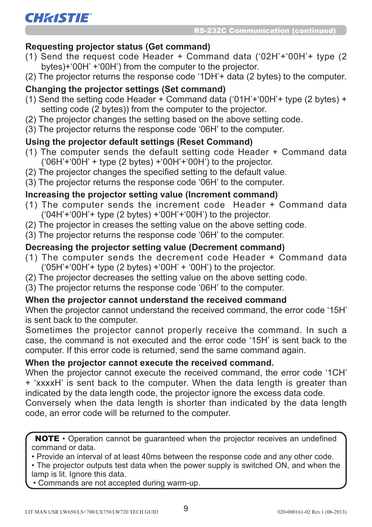#### **Requesting projector status (Get command)**

- (1) Send the request code Header + Command data ('02H'+'00H'+ type (2 bytes)+'00H' +'00H') from the computer to the projector.
- (2) The projector returns the response code '1DH'+ data (2 bytes) to the computer.

#### **Changing the projector settings (Set command)**

- (1) Send the setting code Header + Command data ('01H'+'00H'+ type (2 bytes) + setting code (2 bytes)) from the computer to the projector.
- (2) The projector changes the setting based on the above setting code.
- (3) The projector returns the response code '06H' to the computer.

#### **Using the projector default settings (Reset Command)**

- (1) The computer sends the default setting code Header + Command data  $(06H'+00H'+$  type (2 bytes)  $+(00H'+00H')$  to the projector.
- (2) The projector changes the specified setting to the default value.
- (3) The projector returns the response code '06H' to the computer.

#### **Increasing the projector setting value (Increment command)**

- (1) The computer sends the increment code Header + Command data  $('04H'+'00H'+$  type (2 bytes)  $+(00H'+'00H')$  to the projector.
- (2) The projector in creases the setting value on the above setting code.
- (3) The projector returns the response code '06H' to the computer.

#### **Decreasing the projector setting value (Decrement command)**

- (1) The computer sends the decrement code Header + Command data ('05H'+'00H'+ type (2 bytes) +'00H' + '00H') to the projector.
- (2) The projector decreases the setting value on the above setting code.
- (3) The projector returns the response code '06H' to the computer.

#### **When the projector cannot understand the received command**

When the projector cannot understand the received command, the error code '15H' is sent back to the computer.

Sometimes the projector cannot properly receive the command. In such a case, the command is not executed and the error code '15H' is sent back to the computer. If this error code is returned, send the same command again.

#### **When the projector cannot execute the received command.**

When the projector cannot execute the received command, the error code '1CH' + 'xxxxH' is sent back to the computer. When the data length is greater than indicated by the data length code, the projector ignore the excess data code.

Conversely when the data length is shorter than indicated by the data length code, an error code will be returned to the computer.

NOTE • Operation cannot be guaranteed when the projector receives an undefined command or data.

• Provide an interval of at least 40ms between the response code and any other code.

• The projector outputs test data when the power supply is switched ON, and when the lamp is lit. Ignore this data.

• Commands are not accepted during warm-up.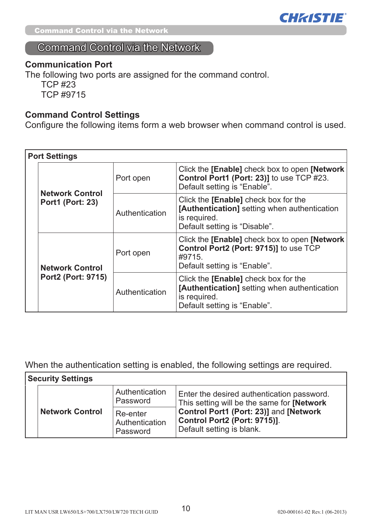

Command Control via the Network

### Command Control via the Network

#### **Communication Port**

The following two ports are assigned for the command control.

TCP #23 TCP #9715

#### **Command Control Settings**

Configure the following items form a web browser when command control is used.

|  | <b>Port Settings</b>                              |                |                                                                                                                                                   |
|--|---------------------------------------------------|----------------|---------------------------------------------------------------------------------------------------------------------------------------------------|
|  | <b>Network Control</b><br><b>Port1 (Port: 23)</b> | Port open      | Click the [Enable] check box to open [Network]<br>Control Port1 (Port: 23)] to use TCP #23.<br>Default setting is "Enable".                       |
|  |                                                   | Authentication | Click the <b>[Enable]</b> check box for the<br>[Authentication] setting when authentication<br>is required.<br>Default setting is "Disable".      |
|  | <b>Network Control</b>                            | Port open      | Click the <b>[Enable]</b> check box to open <b>[Network</b> ]<br>Control Port2 (Port: 9715)] to use TCP<br>#9715.<br>Default setting is "Enable". |
|  | Port2 (Port: 9715)                                | Authentication | Click the <b>[Enable]</b> check box for the<br>[Authentication] setting when authentication<br>is required.<br>Default setting is "Enable".       |

When the authentication setting is enabled, the following settings are required.

| <b>Security Settings</b> |                                        |                                                                                                     |  |  |
|--------------------------|----------------------------------------|-----------------------------------------------------------------------------------------------------|--|--|
|                          | Authentication<br>Password             | Enter the desired authentication password.<br>This setting will be the same for <b>[Network</b> ]   |  |  |
| <b>Network Control</b>   | Re-enter<br>Authentication<br>Password | Control Port1 (Port: 23)] and [Network<br>Control Port2 (Port: 9715)].<br>Default setting is blank. |  |  |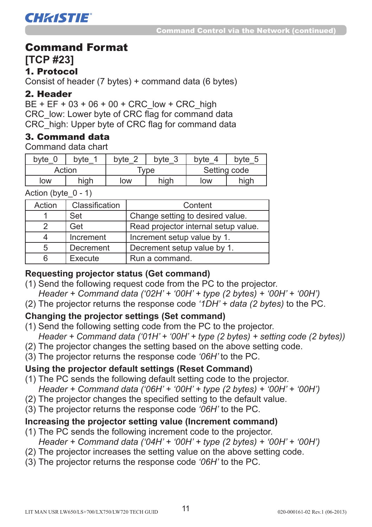#### Command Format

**[TCP #23]**

#### 1. Protocol

**CHRISTIE®** 

Consist of header (7 bytes) + command data (6 bytes)

#### 2. Header

 $BE + EF + 03 + 06 + 00 + CRC$  low + CRC high CRC low: Lower byte of CRC flag for command data CRC\_high: Upper byte of CRC flag for command data

#### 3. Command data

Command data chart

| byte   | bvte | byte                | ◠<br>byte<br>J | byte         | bvte |
|--------|------|---------------------|----------------|--------------|------|
| Action |      | $\tau_\mathsf{VDE}$ |                | Setting code |      |
| low    | high | low                 | high           | IOW          | high |

Action (byte  $0 - 1$ )

| Action | Classification | Content                              |
|--------|----------------|--------------------------------------|
|        | Set            | Change setting to desired value.     |
| 2      | Get            | Read projector internal setup value. |
|        | Increment      | Increment setup value by 1.          |
| 5      | Decrement      | Decrement setup value by 1.          |
| 6      | Execute        | Run a command.                       |

#### **Requesting projector status (Get command)**

- (1) Send the following request code from the PC to the projector. *Header + Command data ('02H' + '00H' + type (2 bytes) + '00H' + '00H')*
- (2) The projector returns the response code *'1DH' + data (2 bytes)* to the PC.

#### **Changing the projector settings (Set command)**

- (1) Send the following setting code from the PC to the projector.  *Header + Command data ('01H' + '00H' + type (2 bytes) + setting code (2 bytes))*
- (2) The projector changes the setting based on the above setting code.
- (3) The projector returns the response code *'06H'* to the PC.

#### **Using the projector default settings (Reset Command)**

- (1) The PC sends the following default setting code to the projector. *Header + Command data ('06H' + '00H' + type (2 bytes) + '00H' + '00H')*
- (2) The projector changes the specified setting to the default value.
- (3) The projector returns the response code *'06H'* to the PC.

#### **Increasing the projector setting value (Increment command)**

- (1) The PC sends the following increment code to the projector. *Header + Command data ('04H' + '00H' + type (2 bytes) + '00H' + '00H')*
- (2) The projector increases the setting value on the above setting code.
- (3) The projector returns the response code *'06H'* to the PC.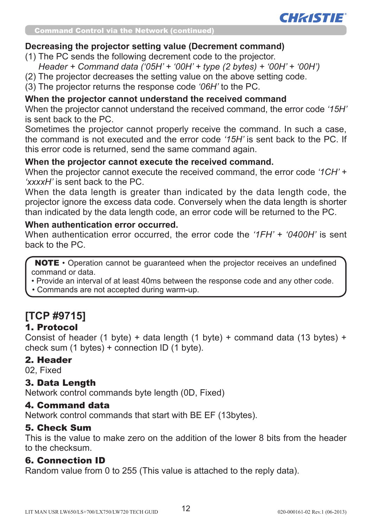

#### **Decreasing the projector setting value (Decrement command)**

- (1) The PC sends the following decrement code to the projector.
	- *Header + Command data ('05H' + '00H' + type (2 bytes) + '00H' + '00H')*
- (2) The projector decreases the setting value on the above setting code.
- (3) The projector returns the response code *'06H'* to the PC.

#### **When the projector cannot understand the received command**

When the projector cannot understand the received command, the error code *'15H'*  is sent back to the PC.

Sometimes the projector cannot properly receive the command. In such a case, the command is not executed and the error code *'15H'* is sent back to the PC. If this error code is returned, send the same command again.

#### **When the projector cannot execute the received command.**

When the projector cannot execute the received command, the error code *'1CH' + 'xxxxH'* is sent back to the PC.

When the data length is greater than indicated by the data length code, the projector ignore the excess data code. Conversely when the data length is shorter than indicated by the data length code, an error code will be returned to the PC.

#### **When authentication error occurred.**

When authentication error occurred, the error code the *'1FH' + '0400H'* is sent back to the PC.

NOTE • Operation cannot be guaranteed when the projector receives an undefined command or data.

- Provide an interval of at least 40ms between the response code and any other code.
- Commands are not accepted during warm-up.

### **[TCP #9715]**

#### 1. Protocol

Consist of header (1 byte) + data length (1 byte) + command data (13 bytes) + check sum (1 bytes) + connection ID (1 byte).

#### 2. Header

02, Fixed

#### 3. Data Length

Network control commands byte length (0D, Fixed)

#### 4. Command data

Network control commands that start with BE EF (13bytes).

#### 5. Check Sum

This is the value to make zero on the addition of the lower 8 bits from the header to the checksum.

#### 6. Connection ID

Random value from 0 to 255 (This value is attached to the reply data).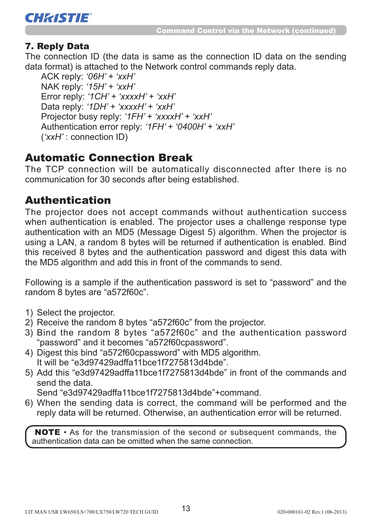

#### 7. Reply Data

The connection ID (the data is same as the connection ID data on the sending data format) is attached to the Network control commands reply data.

ACK reply: *'06H' + 'xxH'* NAK reply: *'15H' + 'xxH'* Error reply: *'1CH' + 'xxxxH' + 'xxH'* Data reply: *'1DH' + 'xxxxH' + 'xxH'* Projector busy reply: *'1FH' + 'xxxxH' + 'xxH'* Authentication error reply: *'1FH' + '0400H' + 'xxH'* (*'xxH'* : connection ID)

### Automatic Connection Break

The TCP connection will be automatically disconnected after there is no communication for 30 seconds after being established.

### Authentication

The projector does not accept commands without authentication success when authentication is enabled. The projector uses a challenge response type authentication with an MD5 (Message Digest 5) algorithm. When the projector is using a LAN, a random 8 bytes will be returned if authentication is enabled. Bind this received 8 bytes and the authentication password and digest this data with the MD5 algorithm and add this in front of the commands to send.

Following is a sample if the authentication password is set to "password" and the random 8 bytes are "a572f60c".

- 1) Select the projector.
- 2) Receive the random 8 bytes "a572f60c" from the projector.
- 3) Bind the random 8 bytes "a572f60c" and the authentication password "password" and it becomes "a572f60cpassword".
- 4) Digest this bind "a572f60cpassword" with MD5 algorithm. It will be "e3d97429adffa11bce1f7275813d4bde".
- 5) Add this "e3d97429adffa11bce1f7275813d4bde" in front of the commands and send the data.

Send "e3d97429adffa11bce1f7275813d4bde"+command.

6) When the sending data is correct, the command will be performed and the reply data will be returned. Otherwise, an authentication error will be returned.

NOTE • As for the transmission of the second or subsequent commands, the authentication data can be omitted when the same connection.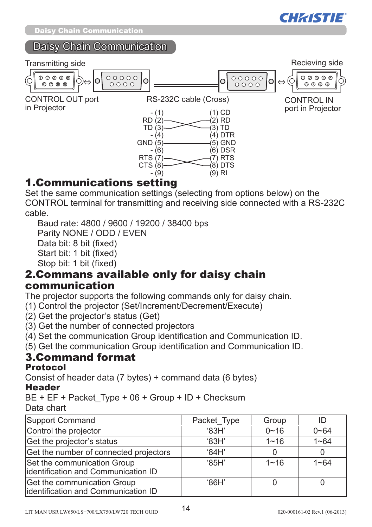

#### Daisy Chain Communication



### 1.Communications setting

Set the same communication settings (selecting from options below) on the CONTROL terminal for transmitting and receiving side connected with a RS-232C cable.

Baud rate: 4800 / 9600 / 19200 / 38400 bps

Parity NONE / ODD / EVEN

Data bit: 8 bit (fixed)

Start bit: 1 bit (fixed)

Stop bit: 1 bit (fixed)

#### 2.Commans available only for daisy chain communication

The projector supports the following commands only for daisy chain.

- (1) Control the projector (Set/Increment/Decrement/Execute)
- (2) Get the projector's status (Get)
- (3) Get the number of connected projectors
- (4) Set the communication Group identification and Communication ID.

(5) Get the communication Group identification and Communication ID.

#### 3.Command format Protocol

Consist of header data (7 bytes) + command data (6 bytes)

#### Header

BE + EF + Packet\_Type + 06 + Group + ID + Checksum Data chart

| Support Command                                                     | Packet_Type     | Group    |          |
|---------------------------------------------------------------------|-----------------|----------|----------|
| Control the projector                                               | $^{\circ}$ 83H  | $0 - 16$ | $0 - 64$ |
| Get the projector's status                                          | $^{\circ}$ 83H  | $1 - 16$ | $1 - 64$ |
| Get the number of connected projectors                              | '84H'           |          |          |
| Set the communication Group<br>lidentification and Communication ID | $^{\circ}$ 85H' | $1 - 16$ | $1 - 64$ |
| Get the communication Group<br>lidentification and Communication ID | $^{\circ}$ 86H' |          |          |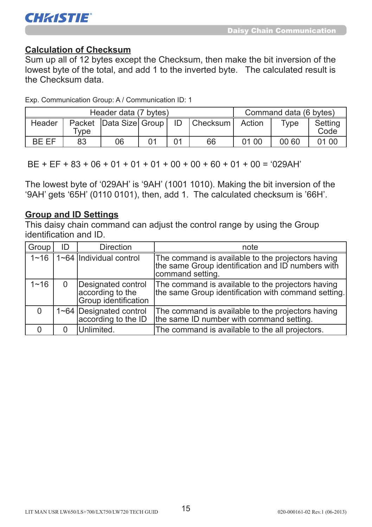

#### **Calculation of Checksum**

Sum up all of 12 bytes except the Checksum, then make the bit inversion of the lowest byte of the total, and add 1 to the inverted byte. The calculated result is the Checksum data.

Exp. Communication Group: A / Communication ID: 1

| Header data (7 bytes) |        |    |  |  |                                            | Command data (6 bytes) |       |                 |
|-----------------------|--------|----|--|--|--------------------------------------------|------------------------|-------|-----------------|
| Header                | $v$ pe |    |  |  | Packet   Data Size   Group   ID   Checksum | Action                 | Tvpe  | Setting<br>Code |
| RF FF                 | 83     | 06 |  |  | 66                                         | 01 00                  | 00 60 | 01 00           |

 $BF + FF + 83 + 06 + 01 + 01 + 01 + 00 + 00 + 60 + 01 + 00 = 029$ AH'

The lowest byte of '029AH' is '9AH' (1001 1010). Making the bit inversion of the '9AH' gets '65H' (0110 0101), then, add 1. The calculated checksum is '66H'.

#### **Group and ID Settings**

This daisy chain command can adjust the control range by using the Group identification and ID.

| Group    | ID | <b>Direction</b>                                               | note                                                                                                                       |
|----------|----|----------------------------------------------------------------|----------------------------------------------------------------------------------------------------------------------------|
| $1 - 16$ |    | $1 - 64$ Individual control                                    | The command is available to the projectors having<br>the same Group identification and ID numbers with<br>command setting. |
| $1 - 16$ | 0  | Designated control<br>according to the<br>Group identification | The command is available to the projectors having<br>the same Group identification with command setting.                   |
| $\Omega$ |    | 1~64   Designated control<br>according to the ID               | The command is available to the projectors having<br>the same ID number with command setting.                              |
|          |    | Unlimited.                                                     | The command is available to the all projectors.                                                                            |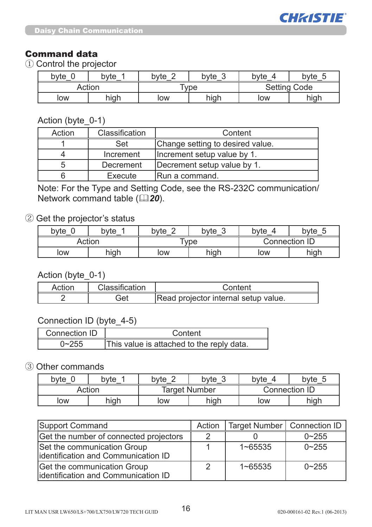

#### Command data

① Control the projector

| byte   | byte | $\sqrt{2}$<br>byte | bvte | bvte         | byte |
|--------|------|--------------------|------|--------------|------|
| Action |      | <b>Type</b>        |      | Setting Code |      |
| low    | high | low                | high | low          | high |

Action (byte 0-1)

| Action | Classification | Content                          |
|--------|----------------|----------------------------------|
|        | Set            | Change setting to desired value. |
|        | Increment      | Increment setup value by 1.      |
| 5      | Decrement      | Decrement setup value by 1.      |
| 6      | Execute        | Run a command.                   |

Note: For the Type and Setting Code, see the RS-232C communication/ Network command table (**20**).

#### ② Get the projector's status

| byte   | bvte | $\sim$<br>byte | $\sim$<br>bvte<br>J | bvte          | byte |
|--------|------|----------------|---------------------|---------------|------|
| Action |      | vpe            |                     | Connection ID |      |
| low    | high | low            | high                | low           | high |

#### Action (byte 0-1)

| Action | Classification | Content                              |
|--------|----------------|--------------------------------------|
|        | Get            | Read projector internal setup value. |

#### Connection ID (byte\_4-5)

| Connection ID | Content                                   |
|---------------|-------------------------------------------|
| 255           | This value is attached to the reply data. |

#### ③ Other commands

| bvte | byte   | bvte<br>byte |                      | byte          | byte 5 |  |
|------|--------|--------------|----------------------|---------------|--------|--|
|      | Action |              | <b>Target Number</b> | Connection ID |        |  |
| low  | high   | low          | high                 | low           | high   |  |

| Support Command                                                     | Action | Target Number   Connection ID |           |
|---------------------------------------------------------------------|--------|-------------------------------|-----------|
| Get the number of connected projectors                              |        |                               | $0 - 255$ |
| Set the communication Group<br>lidentification and Communication ID |        | $1 - 65535$                   | $0 - 255$ |
| Get the communication Group<br>lidentification and Communication ID |        | $1 - 65535$                   | $0 - 255$ |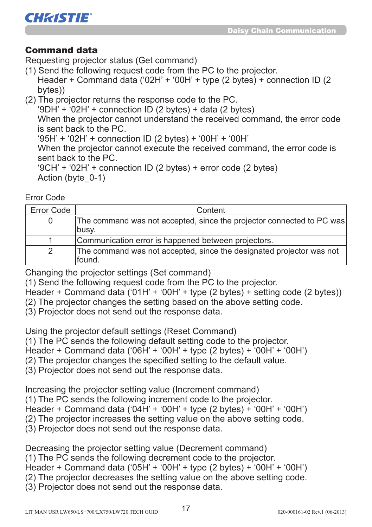

#### Command data

Requesting projector status (Get command)

- (1) Send the following request code from the PC to the projector. Header + Command data ('02H' + '00H' + type (2 bytes) + connection ID (2 bytes))
- (2) The projector returns the response code to the PC. '9DH' +  $02H$ ' + connection ID (2 bytes) + data (2 bytes) When the projector cannot understand the received command, the error code is sent back to the PC. '95H' + '02H' + connection ID (2 bytes) + '00H' + '00H' When the projector cannot execute the received command, the error code is sent back to the PC. '9CH' + '02H' + connection ID (2 bytes) + error code (2 bytes) Action (byte\_0-1)

Error Code

| Error Code | Content                                                               |
|------------|-----------------------------------------------------------------------|
|            | The command was not accepted, since the projector connected to PC was |
|            | busy.                                                                 |
|            | Communication error is happened between projectors.                   |
|            | The command was not accepted, since the designated projector was not  |
|            | lfound.                                                               |

Changing the projector settings (Set command)

(1) Send the following request code from the PC to the projector.

Header + Command data ('01H' + '00H' + type (2 bytes) + setting code (2 bytes))

(2) The projector changes the setting based on the above setting code.

(3) Projector does not send out the response data.

Using the projector default settings (Reset Command)

(1) The PC sends the following default setting code to the projector.

Header + Command data ('06H' + '00H' + type (2 bytes) + '00H' + '00H')

(2) The projector changes the specified setting to the default value.

(3) Projector does not send out the response data.

Increasing the projector setting value (Increment command)

(1) The PC sends the following increment code to the projector.

Header + Command data ('04H' + '00H' + type (2 bytes) + '00H' + '00H')

(2) The projector increases the setting value on the above setting code.

(3) Projector does not send out the response data.

Decreasing the projector setting value (Decrement command)

(1) The PC sends the following decrement code to the projector.

Header + Command data ('05H' + '00H' + type (2 bytes) + '00H' + '00H')

(2) The projector decreases the setting value on the above setting code.

(3) Projector does not send out the response data.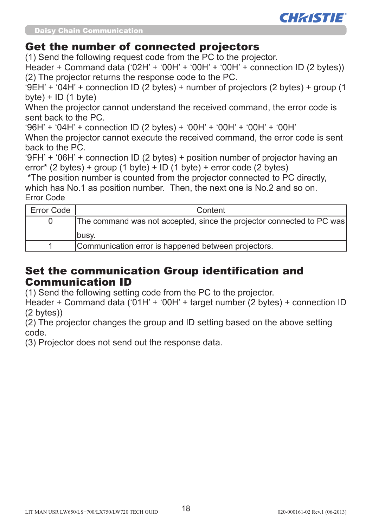

Daisy Chain Communication

#### Get the number of connected projectors

(1) Send the following request code from the PC to the projector.

 $H$ eader + Command data ('02H' + '00H' + '00H' + '00H' + connection ID (2 bytes)) (2) The projector returns the response code to the PC.

'9EH' + '04H' + connection ID (2 bytes) + number of projectors (2 bytes) + group (1  $b$ vte) + ID (1 byte)

When the projector cannot understand the received command, the error code is sent back to the PC.

'96H' + '04H' + connection ID (2 bytes) + '00H' + '00H' + '00H' + '00H'

When the projector cannot execute the received command, the error code is sent back to the PC.

'9FH' + '06H' + connection ID (2 bytes) + position number of projector having an error\* (2 bytes) + group (1 byte) + ID (1 byte) + error code (2 bytes)

 \*The position number is counted from the projector connected to PC directly, which has No.1 as position number. Then, the next one is No.2 and so on. Error Code

| Error Code | Content                                                               |
|------------|-----------------------------------------------------------------------|
|            | The command was not accepted, since the projector connected to PC was |
|            | Ibusy.                                                                |
|            | Communication error is happened between projectors.                   |

### Set the communication Group identification and Communication ID

(1) Send the following setting code from the PC to the projector.

Header + Command data ('01H' + '00H' + target number (2 bytes) + connection ID (2 bytes))

(2) The projector changes the group and ID setting based on the above setting code.

(3) Projector does not send out the response data.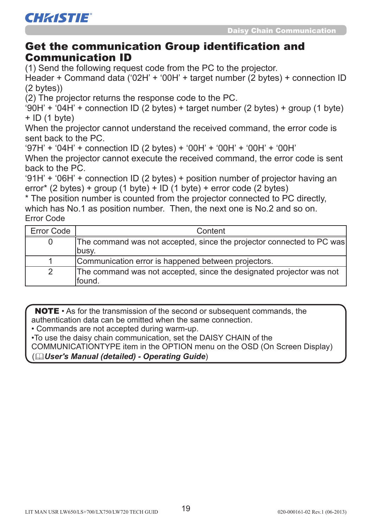#### Get the communication Group identification and Communication ID

(1) Send the following request code from the PC to the projector.

Header + Command data ('02H' + '00H' + target number (2 bytes) + connection ID (2 bytes))

(2) The projector returns the response code to the PC.

 $'90H' + '04H' +$  connection ID (2 bytes) + target number (2 bytes) + group (1 byte)  $+$  ID (1 byte)

When the projector cannot understand the received command, the error code is sent back to the PC.

'97H' + '04H' + connection ID (2 bytes) + '00H' + '00H' + '00H' + '00H'

When the projector cannot execute the received command, the error code is sent back to the PC.

'91H' + '06H' + connection ID (2 bytes) + position number of projector having an error\* (2 bytes) + group (1 byte) + ID (1 byte) + error code (2 bytes)

\* The position number is counted from the projector connected to PC directly, which has No.1 as position number. Then, the next one is No.2 and so on. Error Code

| Error Code | Content                                                                         |
|------------|---------------------------------------------------------------------------------|
|            | The command was not accepted, since the projector connected to PC was           |
|            | lbusv.                                                                          |
|            | Communication error is happened between projectors.                             |
|            | The command was not accepted, since the designated projector was not<br>lfound. |

NOTE • As for the transmission of the second or subsequent commands, the authentication data can be omitted when the same connection.

• Commands are not accepted during warm-up.

•To use the daisy chain communication, set the DAISY CHAIN of the

COMMUNICATIONTYPE item in the OPTION menu on the OSD (On Screen Display)

(*User's Manual (detailed) - Operating Guide*)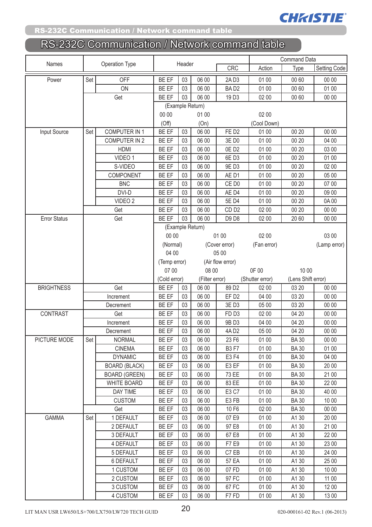

#### RS-232C Communication / Network command table

| Names               | Operation Type |                      |              | Header           |                  |                   |                 | <b>Command Data</b> |                     |  |
|---------------------|----------------|----------------------|--------------|------------------|------------------|-------------------|-----------------|---------------------|---------------------|--|
|                     |                |                      |              |                  |                  | <b>CRC</b>        | Action          | Type                | <b>Setting Code</b> |  |
| Power               | Set            | <b>OFF</b>           | BE EF        | 03               | 06 00            | 2AD3              | 01 00           | 00 60               | 00 00               |  |
|                     |                | ON                   | BE EF        | 03               | 06 00            | BAD <sub>2</sub>  | 01 00           | 00 60               | 01 00               |  |
|                     |                | Get                  | BE EF        | 03               | 06 00            | 19D3              | 02 00           | 00 60               | 00 00               |  |
|                     |                |                      |              | (Example Return) |                  |                   |                 |                     |                     |  |
|                     |                |                      | 00 00        |                  | 01 00            |                   | 02 00           |                     |                     |  |
|                     |                |                      | (Off)        |                  | (On)             |                   | (Cool Down)     |                     |                     |  |
| Input Source        | Set            | <b>COMPUTER IN 1</b> | BE EF        | 03               | 06 00            | FED <sub>2</sub>  | 01 00           | 00 20               | 00 00               |  |
|                     |                | <b>COMPUTER IN 2</b> | BE EF        | 03               | 06 00            | 3E D0             | 01 00           | 00 20               | 04 00               |  |
|                     |                | HDMI                 | BE EF        | 03               | 06 00            | 0ED <sub>2</sub>  | 01 00           | 00 20               | 03 00               |  |
|                     |                | VIDEO 1              | BE EF        | 03               | 06 00            | 6ED3              | 01 00           | 00 20               | 01 00               |  |
|                     |                | S-VIDEO              | BE EF        | 03               | 06 00            | 9E D3             | 01 00           | 00 20               | 02 00               |  |
|                     |                | COMPONENT            | BE EF        | 03               | 06 00            | AE D1             | 01 00           | 00 20               | 05 00               |  |
|                     |                | <b>BNC</b>           | BE EF        | 03               | 06 00            | CE D <sub>0</sub> | 01 00           | 00 20               | 07 00               |  |
|                     |                | DVI-D                | BE EF        | 03               | 06 00            | AE D4             | 01 00           | 00 20               | 09 00               |  |
|                     |                | VIDEO <sub>2</sub>   | BE EF        | 03               | 06 00            | 5E D4             | 01 00           | 00 20               | 0A00                |  |
|                     |                | Get                  | BE EF        | 03               | 06 00            | CD <sub>D2</sub>  | 02 00           | 00 20               | 00 00               |  |
| <b>Error Status</b> |                | Get                  | BE EF        | 03               | 06 00            | D9 D8             | 02 00           | 20 60               | 00 00               |  |
|                     |                |                      |              |                  | (Example Return) |                   |                 |                     |                     |  |
|                     |                |                      | 00 00        |                  |                  | 01 00             | 02 00           |                     | 03 00               |  |
|                     |                |                      | (Normal)     |                  |                  | (Cover error)     | (Fan error)     |                     | (Lamp error)        |  |
|                     |                |                      | 04 00        |                  |                  | 05 00             |                 |                     |                     |  |
|                     |                |                      | (Temp error) |                  |                  | (Air flow error)  |                 |                     |                     |  |
|                     |                |                      | 07 00        |                  | 08 00            |                   | 0F 00           | 10 00               |                     |  |
|                     |                |                      | (Cold error) |                  | (Filter error)   |                   | (Shutter error) | (Lens Shift error)  |                     |  |
| <b>BRIGHTNESS</b>   |                | Get                  | BE EF        | 03               | 06 00            | 89 D <sub>2</sub> | 02 00           | 03 20               | 00 00               |  |
|                     |                | Increment            | BE EF        | 03               | 06 00            | EF <sub>D2</sub>  | 04 00           | 03 20               | 00 00               |  |
|                     |                | Decrement            | BE EF        | 03               | 06 00            | 3E D3             | 05 00           | 03 20               | 00 00               |  |
| <b>CONTRAST</b>     |                | Get                  | BE EF        | 03               | 06 00            | FD <sub>D3</sub>  | 02 00           | 04 20               | 00 00               |  |
|                     |                | Increment            | <b>BE EF</b> | 03               | 06 00            | 9B D3             | 04 00           | 04 20               | 00 00               |  |
|                     |                | Decrement            | BE EF        | 03               | 06 00            | 4AD2              | 05 00           | 04 20               | 00 00               |  |
| PICTURE MODE        | Set            | <b>NORMAL</b>        | BE EF        | 03               | 06 00            | 23 F6             | 01 00           | <b>BA30</b>         | 00 00               |  |
|                     |                | <b>CINEMA</b>        | BE EF        | 03               | 06 00            | <b>B3F7</b>       | 01 00           | <b>BA30</b>         | 01 00               |  |
|                     |                | <b>DYNAMIC</b>       | BE EF        | 03               | 06 00            | E3 F4             | 01 00           | <b>BA30</b>         | 04 00               |  |
|                     |                | <b>BOARD (BLACK)</b> | BE EF        | 03               | 06 00            | E3 EF             | 01 00           | <b>BA30</b>         | 20 00               |  |
|                     |                | <b>BOARD (GREEN)</b> | <b>BE EF</b> | 03               | 06 00            | 73 EE             | 01 00           | <b>BA30</b>         | 21 00               |  |
|                     |                | WHITE BOARD          | BE EF        | 03               | 06 00            | 83 EE             | 01 00           | <b>BA30</b>         | 22 00               |  |
|                     |                | <b>DAY TIME</b>      | BE EF        | 03               | 06 00            | E3 C7             | 01 00           | <b>BA30</b>         | 40 00               |  |
|                     |                | <b>CUSTOM</b>        | BE EF        | 03               | 06 00            | E3FB              | 01 00           | <b>BA30</b>         | 10 00               |  |
|                     |                | Get                  | BE EF        | 03               | 06 00            | 10 F6             | 02 00           | <b>BA30</b>         | 00 00               |  |
| <b>GAMMA</b>        | Set            | 1 DEFAULT            | BE EF        | 03               | 06 00            | 07 E9             | 01 00           | A1 30               | 20 00               |  |
|                     |                | 2 DEFAULT            | BE EF        | 03               | 06 00            | 97 E8             | 01 00           | A1 30               | 21 00               |  |
|                     |                | 3 DEFAULT            | BE EF        | 03               | 06 00            | 67 E8             | 01 00           | A1 30               | 22 00               |  |
|                     |                | 4 DEFAULT            | <b>BE EF</b> | 03               | 06 00            | F7 E9             | 01 00           | A1 30               | 23 00               |  |
|                     |                | 5 DEFAULT            | BE EF        | 03               | 06 00            | C7 EB             | 01 00           | A1 30               | 24 00               |  |
|                     |                | 6 DEFAULT            | BE EF        | 03               | 06 00            | 57 EA             | 01 00           | A1 30               | 25 00               |  |
|                     |                | 1 CUSTOM             | BE EF        | 03               | 06 00            | 07 FD             | 01 00           | A1 30               | 10 00               |  |
|                     |                | 2 CUSTOM             | BE EF        | 03               | 06 00            | 97 FC             | 01 00           | A1 30               | 11 00               |  |
|                     |                | 3 CUSTOM             | BE EF        | 03               | 06 00            | 67 FC             | 01 00           | A1 30               | 12 00               |  |
|                     |                | 4 CUSTOM             | BE EF        | 03               | 06 00            | F7FD              | 01 00           | A1 30               | 13 00               |  |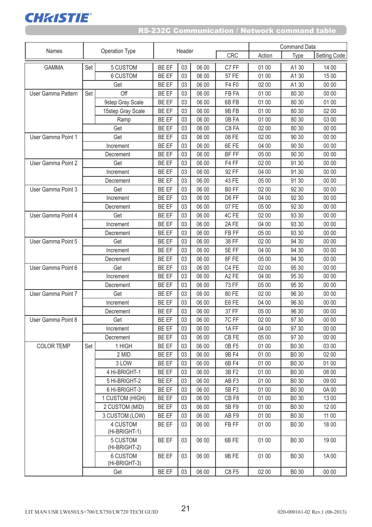

|                    |           |                           |              |        |       |                   | <b>Command Data</b> |                   |              |
|--------------------|-----------|---------------------------|--------------|--------|-------|-------------------|---------------------|-------------------|--------------|
| Names              |           | <b>Operation Type</b>     |              | Header |       | <b>CRC</b>        | Action              | Type              | Setting Code |
| <b>GAMMA</b>       | Set       | 5 CUSTOM                  | <b>BE EF</b> | 03     | 06 00 | C7 FF             | 01 00               | A1 30             | 14 00        |
|                    |           | 6 CUSTOM                  | <b>BE EF</b> | 03     | 06 00 | 57 FE             | 01 00               | A1 30             | 15 00        |
|                    |           | Get                       | <b>BE EF</b> | 03     | 06 00 | F4 F0             | 02 00               | A130              | 00 00        |
| User Gamma Pattern | Set       | Off                       | <b>BE EF</b> | 03     | 06 00 | FB FA             | 01 00               | 80 30             | 00 00        |
|                    |           | 9step Gray Scale          | BE EF        | 03     | 06 00 | 6BFB              | 01 00               | 80 30             | 01 00        |
|                    |           | 15step Gray Scale         | BE EF        | 03     | 06 00 | 9B FB             | 01 00               | 80 30             | 02 00        |
|                    |           | Ramp                      | <b>BE EF</b> | 03     | 06 00 | 0B FA             | 01 00               | 80 30             | 03 00        |
|                    |           | Get                       | <b>BE EF</b> | 03     | 06 00 | C8 FA             | 02 00               | 80 30             | 00 00        |
| User Gamma Point 1 |           | Get                       | BE EF        | 03     | 06 00 | 08 FE             | 02 00               | 90 30             | 00 00        |
|                    |           | Increment                 | BE EF        | 03     | 06 00 | 6E FE             | 04 00               | 90 30             | 00 00        |
|                    |           | Decrement                 | <b>BE EF</b> | 03     | 06 00 | BF FF             | 05 00               | 90 30             | 00 00        |
| User Gamma Point 2 |           | Get                       | BE EF        | 03     | 06 00 | F4 FF             | 02 00               | 91 30             | 00 00        |
|                    |           | Increment                 | <b>BE EF</b> | 03     | 06 00 | 92 FF             | 04 00               | 91 30             | 00 00        |
|                    |           | Decrement                 | <b>BE EF</b> | 03     | 06 00 | 43 FE             | 05 00               | 91 30             | 00 00        |
| User Gamma Point 3 |           | Get                       | BE EF        | 03     | 06 00 | B0 FF             | 02 00               | 92 30             | 00 00        |
|                    |           | Increment                 | <b>BE EF</b> | 03     | 06 00 | D6 FF             | 04 00               | 92 30             | 00 00        |
|                    |           | Decrement                 | BE EF        | 03     | 06 00 | 07 FE             | 05 00               | 92 30             | 00 00        |
| User Gamma Point 4 |           | Get                       | BE EF        | 03     | 06 00 | 4C FE             | 02 00               | 93 30             | 00 00        |
|                    |           | Increment                 | BE EF        | 03     | 06 00 | 2AFE              | 04 00               | 93 30             | 00 00        |
|                    |           | Decrement                 | BE EF        | 03     | 06 00 | FB FF             | 05 00               | 93 30             | 00 00        |
| User Gamma Point 5 |           | Get                       | BE EF        | 03     | 06 00 | 38 FF             | 02 00               | 94 30             | 00 00        |
|                    |           | Increment                 | <b>BE EF</b> | 03     | 06 00 | 5E FF             | 04 00               | 94 30             | 00 00        |
|                    |           | Decrement                 | BE EF        | 03     | 06 00 | 8F FE             | 05 00               | 94 30             | 00 00        |
| User Gamma Point 6 |           | Get                       | BE EF        | 03     | 06 00 | C4 FE             | 02 00               | 95 30             | 00 00        |
|                    |           | Increment                 | BE EF        | 03     | 06 00 | A <sub>2</sub> FE | 04 00               | 95 30             | 00 00        |
|                    | Decrement |                           | BE EF        | 03     | 06 00 | 73 FF             | 05 00               | 95 30             | 00 00        |
| User Gamma Point 7 |           | Get                       | BE EF        | 03     | 06 00 | 80 FE             | 02 00               | 96 30             | 00 00        |
|                    |           | Increment                 | <b>BE EF</b> | 03     | 06 00 | E6 FE             | 04 00               | 96 30             | 00 00        |
|                    |           | Decrement                 | BE EF        | 03     | 06 00 | 37 FF             | 05 00               | 96 30             | 00 00        |
| User Gamma Point 8 |           | Get                       | BE EF        | 03     | 06 00 | 7C FF             | 02 00               | 97 30             | 00 00        |
|                    |           | Increment                 | BE EF        | 03     | 06 00 | 1AFF              | 04 00               | 97 30             | 00 00        |
|                    |           | Decrement                 | BE EF        | 03     | 06 00 | CB FE             | 05 00               | 97 30             | 00 00        |
| <b>COLOR TEMP</b>  | Set       | 1 HIGH                    | BE EF        | 03     | 06 00 | 0B F5             | 01 00               | B0 30             | 03 00        |
|                    |           | 2 MID                     | <b>BE EF</b> | 03     | 06 00 | 9B F4             | 01 00               | B0 30             | 02 00        |
|                    |           | 3 LOW                     | BE EF        | 03     | 06 00 | 6B F4             | 01 00               | B0 30             | 01 00        |
|                    |           | 4 Hi-BRIGHT-1             | BE EF        | 03     | 06 00 | 3B F2             | 01 00               | B0 30             | 08 00        |
|                    |           | 5 Hi-BRIGHT-2             | BE EF        | 03     | 06 00 | AB <sub>F3</sub>  | 01 00               | B0 30             | 09 00        |
|                    |           | 6 Hi-BRIGHT-3             | BE EF        | 03     | 06 00 | 5B F3             | 01 00               | B0 30             | 0A 00        |
|                    |           | 1 CUSTOM (HIGH)           | BE EF        | 03     | 06 00 | CB <sub>F8</sub>  | 01 00               | B0 30             | 13 00        |
|                    |           | 2 CUSTOM (MID)            | <b>BE EF</b> | 03     | 06 00 | 5B F9             | 01 00               | B0 30             | 1200         |
|                    |           | 3 CUSTOM (LOW)            | BE EF        | 03     | 06 00 | AB <sub>F9</sub>  | 01 00               | B0 30             | 11 00        |
|                    |           | 4 CUSTOM                  | BE EF        | 03     | 06 00 | FB FF             | 01 00               | B0 30             | 18 00        |
|                    |           | (Hi-BRIGHT-1)             |              |        |       |                   |                     |                   |              |
|                    |           | 5 CUSTOM<br>(Hi-BRIGHT-2) | <b>BE EF</b> | 03     | 06 00 | 6BFE              | 01 00               | B0 30             | 19 00        |
|                    |           | 6 CUSTOM<br>(Hi-BRIGHT-3) | <b>BE EF</b> | 03     | 06 00 | 9B FE             | 01 00               | B <sub>0</sub> 30 | 1A 00        |
|                    |           | Get                       | BE EF        | 03     | 06 00 | C8 F5             | 02 00               | B0 30             | 00 00        |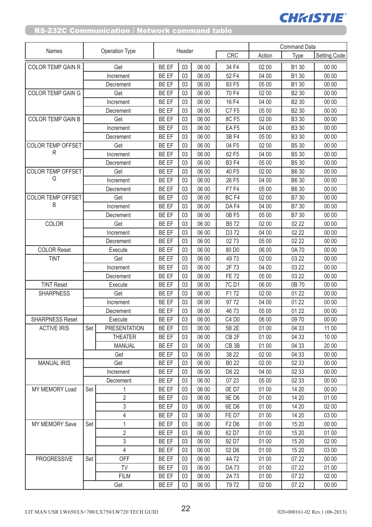|                          |           |                     |              |          |       |                   | <b>Command Data</b> |                   |                     |  |
|--------------------------|-----------|---------------------|--------------|----------|-------|-------------------|---------------------|-------------------|---------------------|--|
| <b>Names</b>             |           | Operation Type      |              | Header   |       | <b>CRC</b>        | Action              | Type              | <b>Setting Code</b> |  |
| <b>COLOR TEMP GAIN R</b> |           | Get                 | <b>BE EF</b> | 03       | 06 00 | 34 F4             | 02 00               | B1 30             | 00 00               |  |
|                          |           | Increment           | <b>BE EF</b> | 03       | 06 00 | 52 F4             | 04 00               | B1 30             | 00 00               |  |
|                          |           | Decrement           | <b>BE EF</b> | 03       | 06 00 | 83 F5             | 05 00               | B1 30             | 00 00               |  |
| COLOR TEMP GAIN G        |           | Get                 | BE EF        | 03       | 06 00 | 70 F4             | 02 00               | B <sub>2</sub> 30 | 00 00               |  |
|                          |           | Increment           | <b>BE EF</b> | 03       | 06 00 | 16 F4             | 04 00               | B <sub>2</sub> 30 | 00 00               |  |
|                          |           | Decrement           | BE EF        | 03       | 06 00 | <b>C7F5</b>       | 05 00               | B <sub>2</sub> 30 | 00 00               |  |
| <b>COLOR TEMP GAIN B</b> |           | Get                 | BE EF        | 03       | 06 00 | 8C F5             | 02 00               | B3 30             | 00 00               |  |
|                          |           | Increment           | BE EF        | 03       | 06 00 | EAF5              | 04 00               | B3 30             | 00 00               |  |
|                          |           | Decrement           | BE EF        | 03       | 06 00 | 3B F4             | 05 00               | B3 30             | 00 00               |  |
| <b>COLOR TEMP OFFSET</b> |           | Get                 | BE EF        | 03       | 06 00 | 04 F5             | 02 00               | B5 30             | 00 00               |  |
| R                        |           | Increment           | <b>BE EF</b> | 03       | 06 00 | 62 F5             | 04 00               | B5 30             | 00 00               |  |
|                          |           | Decrement           | BE EF        | 03       | 06 00 | <b>B3F4</b>       | 05 00               | B5 30             | 00 00               |  |
| <b>COLOR TEMP OFFSET</b> |           | Get                 | <b>BE EF</b> | 03       | 06 00 | 40 F5             | 02 00               | B6 30             | 00 00               |  |
| G                        |           | Increment           | BE EF        | 03       | 06 00 | 26 F5             | 04 00               | <b>B630</b>       | 00 00               |  |
|                          |           | Decrement           | <b>BE EF</b> | 03       | 06 00 | <b>F7F4</b>       | 05 00               | <b>B630</b>       | 00 00               |  |
| <b>COLOR TEMP OFFSET</b> |           | Get                 | BE EF        | 03       | 06 00 | BC <sub>F4</sub>  | 02 00               | B7 30             | 00 00               |  |
| B                        |           | Increment           | <b>BE EF</b> | 03       | 06 00 | DA F4             | 04 00               | B7 30             | 00 00               |  |
|                          |           | Decrement           | BE EF        | 03       | 06 00 | 0B F5             | 05 00               | B7 30             | 00 00               |  |
| COLOR                    |           | Get                 | BE EF        | 03       | 06 00 | B572              | 02 00               | 02 22             | 00 00               |  |
|                          | Increment |                     | <b>BE EF</b> | 03       | 06 00 | D372              | 04 00               | 02 22             | 00 00               |  |
|                          |           | Decrement           | <b>BE EF</b> | 03       | 06 00 | 0273              | 05 00               | 02 22             | 00 00               |  |
| <b>COLOR Reset</b>       |           | Execute             | <b>BE EF</b> | 03       | 06 00 | 80 D <sub>0</sub> | 06 00               | 0A70              | 00 00               |  |
| <b>TINT</b>              |           | Get                 | BE EF        | 03       | 06 00 | 4973              | 02 00               | 03 22             | 00 00               |  |
|                          |           | Increment           | BE EF        | 03       | 06 00 | 2F 73             | 04 00               | 03 22             | 00 00               |  |
|                          |           | Decrement           | BE EF        | 03       | 06 00 | <b>FE 72</b>      | 05 00               | 03 22             | 00 00               |  |
| <b>TINT Reset</b>        |           | Execute             | <b>BE EF</b> | 03       | 06 00 | 7C D1             | 06 00               | 0B 70             | 00 00               |  |
| <b>SHARPNESS</b>         | Get       |                     | BE EF        | 03       | 06 00 | F172              | 02 00               | 01 22             | 00 00               |  |
|                          | Increment |                     | BE EF        | 03       | 06 00 | 97 72             | 04 00               | 01 22             | 00 00               |  |
|                          |           | Decrement           | BE EF        | 03       | 06 00 | 4673              | 05 00               | 01 22             | 00 00               |  |
| SHARPNESS Reset          |           | Execute             | BE EF        | 03       | 06 00 | C4 D0             | 06 00               | 0970              | 00 00               |  |
| <b>ACTIVE IRIS</b>       | Set       | <b>PRESENTATION</b> | <b>BE EF</b> | 03       | 06 00 | 5B 2E             | 01 00               | 04 33             | 11 00               |  |
|                          |           | <b>THEATER</b>      | <b>BE EF</b> | 03       | 06 00 | CB <sub>2F</sub>  | 01 00               | 04 33             | 10 00               |  |
|                          |           | <b>MANUAL</b>       | <b>BE EF</b> | 03       | 06 00 | CB <sub>3</sub> B | 01 00               | 04 33             | 20 00               |  |
|                          |           | Get                 | <b>BE EF</b> | 03       | 06 00 | 38 22             | 02 00               | 04 33             | 00 00               |  |
| <b>MANUAL IRIS</b>       |           | Get                 | BE EF        | 03       | 06 00 | B0 22             | 02 00               | 02 33             | 00 00               |  |
|                          |           | Increment           | BE EF        | 03       | 06 00 | D6 22             | 04 00               | 02 33             | 00 00               |  |
|                          |           | Decrement           | BE EF        | 03       | 06 00 | 07 23             | 05 00               | 02 33             | 00 00               |  |
| <b>MY MEMORY Load</b>    | Set       | 1                   | BE EF        | 03       | 06 00 | 0ED7              | 01 00               | 14 20             | 00 00               |  |
|                          |           | $\overline{2}$      | BE EF        | 03       | 06 00 | 9E D6             | 01 00               | 14 20             | 01 00               |  |
|                          |           | 3                   | BE EF        | 03       | 06 00 | 6ED6              | 01 00               | 14 20             | 02 00               |  |
|                          |           | 4                   | BE EF        | 03       | 06 00 | FE D7             | 01 00               | 14 20             | 03 00               |  |
| <b>MY MEMORY Save</b>    | Set       | $\mathbf{1}$        | <b>BE EF</b> | 03       | 06 00 | F2 D6             | 01 00               | 15 20             | 00 00               |  |
|                          |           | $\overline{2}$      | <b>BE EF</b> | 03       | 06 00 | 62 D7             | 01 00               | 15 20             | 01 00               |  |
|                          |           | 3<br>$\overline{4}$ | <b>BE EF</b> | 03       | 06 00 | 92 D7             | 01 00               | 15 20             | 02 00               |  |
|                          |           |                     | BE EF        | 03       | 06 00 | 02 D6             | 01 00               | 15 20             | 03 00               |  |
| <b>PROGRESSIVE</b>       | Set       | OFF                 | BE EF        | 03       | 06 00 | 4A72              | 01 00               | 07 22             | 00 00               |  |
|                          |           | <b>TV</b>           | BE EF        | 03<br>03 | 06 00 | <b>DA73</b>       | 01 00               | 07 22             | 01 00               |  |
|                          |           | <b>FILM</b>         | <b>BE EF</b> |          | 06 00 | 2A73              | 01 00               | 07 22             | 02 00               |  |
|                          |           | Get                 | BE EF        | 03       | 06 00 | 7972              | 02 00               | 07 22             | 00 00               |  |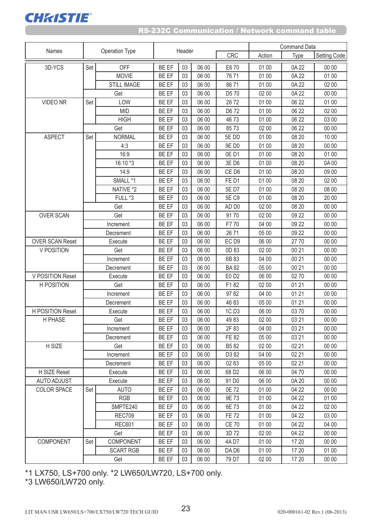

#### RS-232C Communication / Network command table

|                         |           |                    |              |        |       |                   | <b>Command Data</b> |       |                     |  |
|-------------------------|-----------|--------------------|--------------|--------|-------|-------------------|---------------------|-------|---------------------|--|
| Names                   |           | Operation Type     |              | Header |       | CRC               | Action              | Type  | <b>Setting Code</b> |  |
| 3D-YCS                  | Set       | OFF                | <b>BE EF</b> | 03     | 06 00 | E6 70             | 01 00               | 0A 22 | 00 00               |  |
|                         |           | <b>MOVIE</b>       | BE EF        | 03     | 06 00 | 7671              | 01 00               | 0A 22 | 01 00               |  |
|                         |           | <b>STILL IMAGE</b> | <b>BE EF</b> | 03     | 06 00 | 8671              | 01 00               | 0A 22 | 02 00               |  |
|                         |           | Get                | BE EF        | 03     | 06 00 | D5 70             | 02 00               | 0A 22 | 00 00               |  |
| <b>VIDEO NR</b>         | Set       | LOW                | <b>BE EF</b> | 03     | 06 00 | 2672              | 01 00               | 06 22 | 01 00               |  |
|                         |           | <b>MID</b>         | <b>BE EF</b> | 03     | 06 00 | D6 72             | 01 00               | 06 22 | 02 00               |  |
|                         |           | <b>HIGH</b>        | <b>BE EF</b> | 03     | 06 00 | 4673              | 01 00               | 06 22 | 03 00               |  |
|                         |           | Get                | BE EF        | 03     | 06 00 | 8573              | 02 00               | 06 22 | 00 00               |  |
| <b>ASPECT</b>           | Set       | <b>NORMAL</b>      | BE EF        | 03     | 06 00 | 5E DD             | 01 00               | 08 20 | 10 00               |  |
|                         |           | 4:3                | BE EF        | 03     | 06 00 | 9E D0             | 01 00               | 08 20 | 00 00               |  |
|                         |           | 16:9               | BE EF        | 03     | 06 00 | 0ED1              | 01 00               | 08 20 | 01 00               |  |
|                         |           | 16:10 *3           | BE EF        | 03     | 06 00 | 3E D6             | 01 00               | 08 20 | 0A00                |  |
|                         |           | 14:9               | BE EF        | 03     | 06 00 | CE D6             | 01 00               | 08 20 | 09 00               |  |
|                         |           | SMALL *1           | BE EF        | 03     | 06 00 | FED1              | 01 00               | 08 20 | 02 00               |  |
|                         |           | NATIVE *2          | BE EF        | 03     | 06 00 | 5E D7             | 01 00               | 08 20 | 08 00               |  |
|                         |           | FULL *3            | BE EF        | 03     | 06 00 | 5E C9             | 01 00               | 08 20 | 20 00               |  |
|                         |           | Get                | BE EF        | 03     | 06 00 | AD <sub>D0</sub>  | 02 00               | 08 20 | 00 00               |  |
| <b>OVER SCAN</b>        |           | Get                | <b>BE EF</b> | 03     | 06 00 | 9170              | 02 00               | 09 22 | 00 00               |  |
|                         | Increment |                    | <b>BE EF</b> | 03     | 06 00 | F7 70             | 04 00               | 09 22 | 00 00               |  |
|                         |           | Decrement          | <b>BE EF</b> | 03     | 06 00 | 2671              | 05 00               | 09 22 | 00 00               |  |
| <b>OVER SCAN Reset</b>  |           | Execute            | <b>BE EF</b> | 03     | 06 00 | EC <sub>D9</sub>  | 06 00               | 2770  | 00 00               |  |
| V POSITION              |           | Get                | BE EF        | 03     | 06 00 | 0D 83             | 02 00               | 00 21 | 00 00               |  |
|                         | Increment |                    | BE EF        | 03     | 06 00 | 6B 83             | 04 00               | 00 21 | 00 00               |  |
|                         |           | Decrement          | BE EF        | 03     | 06 00 | <b>BA82</b>       | 05 00               | 00 21 | 00 00               |  |
| V POSITION Reset        |           | Execute            | BE EF        | 03     | 06 00 | E0 D2             | 06 00               | 0270  | 00 00               |  |
| <b>H POSITION</b>       |           | Get                | BE EF        | 03     | 06 00 | F182              | 02 00               | 01 21 | 00 00               |  |
|                         |           | Increment          | BE EF        | 03     | 06 00 | 9782              | 04 00               | 01 21 | 00 00               |  |
|                         |           | Decrement          | BE EF        | 03     | 06 00 | 4683              | 05 00               | 01 21 | 00 00               |  |
| <b>H POSITION Reset</b> |           | Execute            | <b>BE EF</b> | 03     | 06 00 | 1C D <sub>3</sub> | 06 00               | 03 70 | 00 00               |  |
| H PHASE                 |           | Get                | BE EF        | 03     | 06 00 | 4983              | 02 00               | 03 21 | 00 00               |  |
|                         |           | Increment          | <b>BE EF</b> | 03     | 06 00 | 2F 83             | 04 00               | 03 21 | 00 00               |  |
|                         |           | Decrement          | BE EF        | 03     | 06 00 | <b>FE 82</b>      | 05 00               | 03 21 | 00 00               |  |
| H SIZE                  |           | Get                | <b>BE EF</b> | 03     | 06 00 | B582              | 02 00               | 02 21 | 00 00               |  |
|                         |           | Increment          | BE EF        | 03     | 06 00 | D3 82             | 04 00               | 02 21 | 00 00               |  |
|                         |           | Decrement          | BE EF        | 03     | 06 00 | 02 83             | 05 00               | 02 21 | 00 00               |  |
| H SIZE Reset            |           | Execute            | BE EF        | 03     | 06 00 | 68 D <sub>2</sub> | 06 00               | 04 70 | 00 00               |  |
| <b>AUTO ADJUST</b>      |           | Execute            | BE EF        | 03     | 06 00 | 91 D <sub>0</sub> | 06 00               | 0A 20 | 00 00               |  |
| <b>COLOR SPACE</b>      | Set       | <b>AUTO</b>        | BE EF        | 03     | 06 00 | 0E 72             | 01 00               | 04 22 | 00 00               |  |
|                         |           | <b>RGB</b>         | BE EF        | 03     | 06 00 | 9E 73             | 01 00               | 04 22 | 01 00               |  |
|                         |           | SMPTE240           | BE EF        | 03     | 06 00 | 6E 73             | 01 00               | 04 22 | 02 00               |  |
|                         |           | <b>REC709</b>      | BE EF        | 03     | 06 00 | <b>FE 72</b>      | 01 00               | 04 22 | 03 00               |  |
|                         |           | <b>REC601</b>      | BE EF        | 03     | 06 00 | <b>CE 70</b>      | 01 00               | 04 22 | 04 00               |  |
|                         |           | Get                | BE EF        | 03     | 06 00 | 3D 72             | 02 00               | 04 22 | 00 00               |  |
| <b>COMPONENT</b>        | Set       | COMPONENT          | <b>BE EF</b> | 03     | 06 00 | 4A D7             | 01 00               | 17 20 | 00 00               |  |
|                         |           | <b>SCART RGB</b>   | <b>BE EF</b> | 03     | 06 00 | DA D6             | 01 00               | 17 20 | 01 00               |  |
|                         |           | Get                | BE EF        | 03     | 06 00 | 79 D7             | 02 00               | 17 20 | 00 00               |  |

\*1 LX750, LS+700 only. \*2 LW650/LW720, LS+700 only.

\*3 LW650/LW720 only.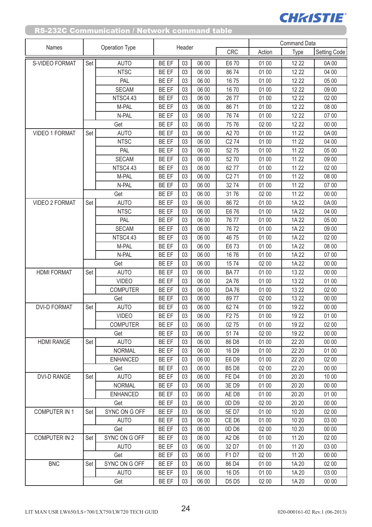| Names                 | Operation Type |                 |              | Header |       |                   | <b>Command Data</b> |       |              |  |
|-----------------------|----------------|-----------------|--------------|--------|-------|-------------------|---------------------|-------|--------------|--|
|                       |                |                 |              |        |       | CRC               | Action              | Type  | Setting Code |  |
| S-VIDEO FORMAT        | Set            | <b>AUTO</b>     | BE EF        | 03     | 06 00 | E6 70             | 01 00               | 12 22 | 0A 00        |  |
|                       |                | <b>NTSC</b>     | BE EF        | 03     | 06 00 | 8674              | 01 00               | 12 22 | 04 00        |  |
|                       |                | PAL             | BE EF        | 03     | 06 00 | 1675              | 01 00               | 12 22 | 05 00        |  |
|                       |                | <b>SECAM</b>    | BE EF        | 03     | 06 00 | 1670              | 01 00               | 12 22 | 09 00        |  |
|                       |                | NTSC4.43        | BE EF        | 03     | 06 00 | 26 77             | 01 00               | 12 22 | 02 00        |  |
|                       |                | M-PAL           | BE EF        | 03     | 06 00 | 8671              | 01 00               | 12 22 | 08 00        |  |
|                       |                | N-PAL           | BE EF        | 03     | 06 00 | 7674              | 01 00               | 12 22 | 07 00        |  |
|                       |                | Get             | BE EF        | 03     | 06 00 | 75 76             | 02 00               | 12 22 | 00 00        |  |
| <b>VIDEO 1 FORMAT</b> | Set            | <b>AUTO</b>     | BE EF        | 03     | 06 00 | A270              | 01 00               | 11 22 | 0A00         |  |
|                       |                | <b>NTSC</b>     | BE EF        | 03     | 06 00 | C <sub>2</sub> 74 | 01 00               | 11 22 | 04 00        |  |
|                       |                | PAL             | BE EF        | 03     | 06 00 | 52 75             | 01 00               | 11 22 | 05 00        |  |
|                       |                | <b>SECAM</b>    | BE EF        | 03     | 06 00 | 52 70             | 01 00               | 11 22 | 09 00        |  |
|                       |                | NTSC4.43        | BE EF        | 03     | 06 00 | 6277              | 01 00               | 11 22 | 02 00        |  |
|                       |                | M-PAL           | BE EF        | 03     | 06 00 | C <sub>2</sub> 71 | 01 00               | 11 22 | 08 00        |  |
|                       |                | N-PAL           | BE EF        | 03     | 06 00 | 3274              | 01 00               | 11 22 | 07 00        |  |
|                       |                | Get             | BE EF        | 03     | 06 00 | 3176              | 02 00               | 11 22 | 00 00        |  |
| <b>VIDEO 2 FORMAT</b> | Set            | <b>AUTO</b>     | BE EF        | 03     | 06 00 | 8672              | 01 00               | 1A 22 | 0A 00        |  |
|                       |                | <b>NTSC</b>     | BE EF        | 03     | 06 00 | E6 76             | 01 00               | 1A 22 | 04 00        |  |
|                       |                | PAL             | BE EF        | 03     | 06 00 | 7677              | 01 00               | 1A 22 | 05 00        |  |
|                       |                | <b>SECAM</b>    | <b>BE EF</b> | 03     | 06 00 | 7672              | 01 00               | 1A 22 | 09 00        |  |
|                       |                | NTSC4.43        | BE EF        | 03     | 06 00 | 4675              | 01 00               | 1A 22 | 02 00        |  |
|                       |                | M-PAL           | BE EF        | 03     | 06 00 | E6 73             | 01 00               | 1A 22 | 08 00        |  |
|                       |                | N-PAL           | BE EF        | 03     | 06 00 | 1676              | 01 00               | 1A 22 | 07 00        |  |
|                       |                | Get             | <b>BE EF</b> | 03     | 06 00 | 1574              | 02 00               | 1A 22 | 00 00        |  |
| <b>HDMI FORMAT</b>    | Set            | <b>AUTO</b>     | BE EF        | 03     | 06 00 | <b>BA77</b>       | 01 00               | 13 22 | 00 00        |  |
|                       |                | <b>VIDEO</b>    | BE EF        | 03     | 06 00 | 2A76              | 01 00               | 13 22 | 01 00        |  |
|                       |                | <b>COMPUTER</b> | BE EF        | 03     | 06 00 | <b>DA76</b>       | 01 00               | 13 22 | 02 00        |  |
|                       |                | Get             | BE EF        | 03     | 06 00 | 8977              | 02 00               | 13 22 | 00 00        |  |
| <b>DVI-D FORMAT</b>   | Set            | <b>AUTO</b>     | BE EF        | 03     | 06 00 | 6274              | 01 00               | 19 22 | 00 00        |  |
|                       |                | <b>VIDEO</b>    | BE EF        | 03     | 06 00 | F <sub>2</sub> 75 | 01 00               | 19 22 | 01 00        |  |
|                       |                | <b>COMPUTER</b> | BE EF        | 03     | 06 00 | 0275              | 01 00               | 19 22 | 02 00        |  |
|                       |                | Get             | BE EF        | 03     | 06 00 | 5174              | 02 00               | 19 22 | 00 00        |  |
| <b>HDMI RANGE</b>     | Set            | <b>AUTO</b>     | <b>BE EF</b> | 03     | 06 00 | 86 D8             | 01 00               | 22 20 | 00 00        |  |
|                       |                | <b>NORMAL</b>   | BE EF        | 03     | 06 00 | 16 D9             | 01 00               | 22 20 | 01 00        |  |
|                       |                | <b>ENHANCED</b> | BE EF        | 03     | 06 00 | E6 D9             | 01 00               | 22 20 | 02 00        |  |
|                       |                | Get             | <b>BE EF</b> | 03     | 06 00 | <b>B5D8</b>       | 02 00               | 22 20 | 00 00        |  |
| <b>DVI-D RANGE</b>    | Set            | <b>AUTO</b>     | <b>BE EF</b> | 03     | 06 00 | FE D4             | 01 00               | 20 20 | 10 00        |  |
|                       |                | <b>NORMAL</b>   | BE EF        | 03     | 06 00 | 3E D9             | 01 00               | 20 20 | 00 00        |  |
|                       |                | <b>ENHANCED</b> | BE EF        | 03     | 06 00 | AE D8             | 01 00               | 20 20 | 01 00        |  |
|                       |                | Get             | BE EF        | 03     | 06 00 | OD <sub>D9</sub>  | 02 00               | 20 20 | 00 00        |  |
| <b>COMPUTER IN 1</b>  | Set            | SYNC ON G OFF   | BE EF        | 03     | 06 00 | 5E D7             | 01 00               | 10 20 | 02 00        |  |
|                       |                | <b>AUTO</b>     | BE EF        | 03     | 06 00 | CE D6             | 01 00               | 1020  | 03 00        |  |
|                       |                | Get             | BE EF        | 03     | 06 00 | OD <sub>D6</sub>  | 02 00               | 10 20 | 00 00        |  |
| <b>COMPUTER IN 2</b>  | Set            | SYNC ON G OFF   | BE EF        | 03     | 06 00 | A2 D6             | 01 00               | 11 20 | 02 00        |  |
|                       |                | <b>AUTO</b>     | BE EF        | 03     | 06 00 | 32 D7             | 01 00               | 11 20 | 03 00        |  |
|                       |                | Get             | BE EF        | 03     | 06 00 | F1D7              | 02 00               | 11 20 | 00 00        |  |
| <b>BNC</b>            | Set            | SYNC ON G OFF   | BE EF        | 03     | 06 00 | 86 D4             | 01 00               | 1A 20 | 02 00        |  |
|                       |                | <b>AUTO</b>     | BE EF        | 03     | 06 00 | 16 D <sub>5</sub> | 01 00               | 1A 20 | 03 00        |  |
|                       |                | Get             | BE EF        | 03     | 06 00 | D5 D5             | 02 00               | 1A 20 | 00 00        |  |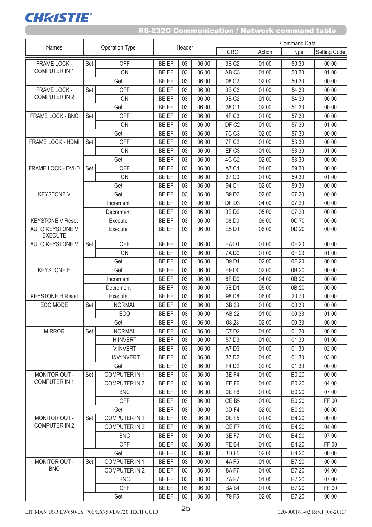|                                          | Operation Type |                      |              |        |       |                   | <b>Command Data</b> |              |              |
|------------------------------------------|----------------|----------------------|--------------|--------|-------|-------------------|---------------------|--------------|--------------|
| Names                                    |                |                      |              | Header |       | <b>CRC</b>        | Action              | Type         | Setting Code |
| FRAME LOCK -                             | Set            | OFF                  | BE EF        | 03     | 06 00 | 3B C2             | 01 00               | 50 30        | 00 00        |
| <b>COMPUTER IN 1</b>                     |                | ON                   | <b>BE EF</b> | 03     | 06 00 | AB <sub>C3</sub>  | 01 00               | 50 30        | 01 00        |
|                                          |                | Get                  | <b>BE EF</b> | 03     | 06 00 | 08 C <sub>2</sub> | 02 00               | 50 30        | 00 00        |
| FRAME LOCK -                             | Set            | <b>OFF</b>           | BE EF        | 03     | 06 00 | 0BC3              | 01 00               | 54 30        | 00 00        |
| <b>COMPUTER IN 2</b>                     |                | ON                   | BE EF        | 03     | 06 00 | 9B C2             | 01 00               | 54 30        | 00 00        |
|                                          |                | Get                  | <b>BE EF</b> | 03     | 06 00 | 38 C <sub>3</sub> | 02 00               | 54 30        | 00 00        |
| FRAME LOCK - BNC                         | Set            | OFF                  | BE EF        | 03     | 06 00 | 4F C3             | 01 00               | 57 30        | 00 00        |
|                                          |                | ON                   | <b>BE EF</b> | 03     | 06 00 | DF C <sub>2</sub> | 01 00               | 57 30        | 01 00        |
|                                          |                | Get                  | <b>BE EF</b> | 03     | 06 00 | 7C C <sub>3</sub> | 02 00               | 57 30        | 00 00        |
| FRAME LOCK - HDMI                        | Set            | <b>OFF</b>           | <b>BE EF</b> | 03     | 06 00 | <b>7F C2</b>      | 01 00               | 53 30        | 00 00        |
|                                          |                | ON                   | <b>BE EF</b> | 03     | 06 00 | EF C <sub>3</sub> | 01 00               | 53 30        | 01 00        |
|                                          |                | Get                  | BE EF        | 03     | 06 00 | 4C C <sub>2</sub> | 02 00               | 53 30        | 00 00        |
| FRAME LOCK - DVI-D                       | Set            | OFF                  | <b>BE EF</b> | 03     | 06 00 | A7 C1             | 01 00               | 59 30        | 00 00        |
|                                          |                | ON                   | <b>BE EF</b> | 03     | 06 00 | 37 C <sub>0</sub> | 01 00               | 59 30        | 01 00        |
|                                          |                | Get                  | BE EF        | 03     | 06 00 | 94 C1             | 02 00               | 59 30        | 00 00        |
| <b>KEYSTONE V</b>                        |                | Get                  | BE EF        | 03     | 06 00 | <b>B9D3</b>       | 02 00               | 07 20        | 00 00        |
|                                          |                | Increment            | <b>BE EF</b> | 03     | 06 00 | DF D <sub>3</sub> | 04 00               | 07 20        | 00 00        |
|                                          |                | Decrement            | BE EF        | 03     | 06 00 | 0ED2              | 05 00               | 07 20        | 00 00        |
| <b>KEYSTONE V Reset</b>                  |                | Execute              | BE EF        | 03     | 06 00 | 08 D <sub>0</sub> | 06 00               | 0C 70        | 00 00        |
| <b>AUTO KEYSTONE V</b><br><b>EXECUTE</b> |                | Execute              | <b>BE EF</b> | 03     | 06 00 | E5 D1             | 06 00               | 0D 20        | 00 00        |
| <b>AUTO KEYSTONE V</b>                   | Set            | OFF                  | BE EF        | 03     | 06 00 | EAD1              | 01 00               | 0F 20        | 00 00        |
|                                          |                | ON                   | BE EF        | 03     | 06 00 | <b>7AD0</b>       | 01 00               | 0F 20        | 01 00        |
|                                          |                | Get                  | <b>BE EF</b> | 03     | 06 00 | D9 D1             | 02 00               | 0F 20        | 00 00        |
| <b>KEYSTONE H</b>                        |                | Get                  | <b>BE EF</b> | 03     | 06 00 | E9 D0             | 02 00               | 0B 20        | 00 00        |
|                                          | Increment      |                      | BE EF        | 03     | 06 00 | 8FD0              | 04 00               | 0B 20        | 00 00        |
|                                          |                | Decrement            | <b>BE EF</b> | 03     | 06 00 | 5E D1             | 05 00               | 0B 20        | 00 00        |
| <b>KEYSTONE H Reset</b>                  |                | Execute              | <b>BE EF</b> | 03     | 06 00 | 98 D <sub>8</sub> | 06 00               | 2070         | 00 00        |
| ECO MODE                                 | Set            | <b>NORMAL</b>        | BE EF        | 03     | 06 00 | 3B 23             | 01 00               | 00 33        | 00 00        |
|                                          |                | ECO                  | <b>BE EF</b> | 03     | 06 00 | <b>AB 22</b>      | 01 00               | 00 33        | 01 00        |
|                                          |                | Get                  | <b>BE EF</b> | 03     | 06 00 | 08 23             | 02 00               | 00 33        | 00 00        |
| <b>MIRROR</b>                            | Set            | <b>NORMAL</b>        | BE EF        | 03     | 06 00 | C7 D2             | 01 00               | 01 30        | 00 00        |
|                                          |                | H:INVERT             | BE EF        | 03     | 06 00 | 57 D3             | 01 00               | 01 30        | 01 00        |
|                                          |                | <b>V:INVERT</b>      | <b>BE EF</b> | 03     | 06 00 | A7 D3             | 01 00               | 01 30        | 02 00        |
|                                          |                | H&V:INVERT           | BE EF        | 03     | 06 00 | 37 D <sub>2</sub> | 01 00               | 01 30        | 03 00        |
|                                          |                | Get                  | BE EF        | 03     | 06 00 | F4 D2             | 02 00               | 01 30        | 00 00        |
| MONITOR OUT -                            | Set            | <b>COMPUTER IN 1</b> | <b>BE EF</b> | 03     | 06 00 | 3E F4             | 01 00               | B0 20        | 00 00        |
| COMPUTER IN 1                            |                | <b>COMPUTER IN 2</b> | <b>BE EF</b> | 03     | 06 00 | FE <sub>F6</sub>  | 01 00               | B0 20        | 04 00        |
|                                          |                | <b>BNC</b>           | BE EF        | 03     | 06 00 | OE F6             | 01 00               | B0 20        | 07 00        |
|                                          |                | OFF                  | BE EF        | 03     | 06 00 | CE B <sub>5</sub> | 01 00               | <b>B0 20</b> | FF 00        |
|                                          |                | Get                  | <b>BE EF</b> | 03     | 06 00 | OD <sub>F4</sub>  | 02 00               | B0 20        | 00 00        |
| MONITOR OUT -                            | Set            | <b>COMPUTER IN 1</b> | <b>BE EF</b> | 03     | 06 00 | 0E F5             | 01 00               | B4 20        | 00 00        |
| <b>COMPUTER IN 2</b>                     |                | <b>COMPUTER IN 2</b> | BE EF        | 03     | 06 00 | CE F7             | 01 00               | B4 20        | 04 00        |
|                                          |                | <b>BNC</b>           | <b>BE EF</b> | 03     | 06 00 | 3E F7             | 01 00               | B4 20        | 07 00        |
|                                          |                | <b>OFF</b>           | <b>BE EF</b> | 03     | 06 00 | FE <sub>B4</sub>  | 01 00               | B4 20        | FF 00        |
|                                          |                | Get                  | BE EF        | 03     | 06 00 | 3D F5             | 02 00               | B4 20        | 00 00        |
| MONITOR OUT -                            | Set            | COMPUTER IN 1        | BE EF        | 03     | 06 00 | 4A F5             | 01 00               | B7 20        | 00 00        |
| <b>BNC</b>                               |                | <b>COMPUTER IN 2</b> | <b>BE EF</b> | 03     | 06 00 | 8A F7             | 01 00               | B7 20        | 04 00        |
|                                          |                | <b>BNC</b>           | BE EF        | 03     | 06 00 | <b>7AF7</b>       | 01 00               | B7 20        | 07 00        |
|                                          |                | <b>OFF</b>           | BE EF        | 03     | 06 00 | BA <sub>B4</sub>  | 01 00               | B7 20        | FF 00        |
|                                          |                | Get                  | BE EF        | 03     | 06 00 | 79 F5             | 02 00               | B7 20        | 00 00        |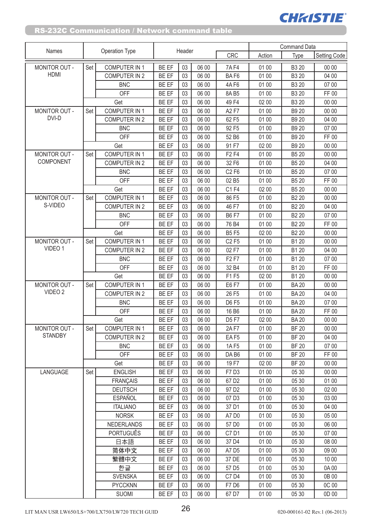|                      |     |                       |              |        |       |                               | <b>Command Data</b> |                   |                     |  |
|----------------------|-----|-----------------------|--------------|--------|-------|-------------------------------|---------------------|-------------------|---------------------|--|
| Names                |     | <b>Operation Type</b> |              | Header |       | <b>CRC</b>                    | Action              | Type              | <b>Setting Code</b> |  |
| MONITOR OUT -        | Set | <b>COMPUTER IN 1</b>  | <b>BE EF</b> | 03     | 06 00 | <b>7AF4</b>                   | 01 00               | B3 20             | 00 00               |  |
| <b>HDMI</b>          |     | COMPUTER IN 2         | BE EF        | 03     | 06 00 | BAF6                          | 01 00               | B3 20             | 04 00               |  |
|                      |     | <b>BNC</b>            | <b>BE EF</b> | 03     | 06 00 | 4A F6                         | 01 00               | B3 20             | 07 00               |  |
|                      |     | <b>OFF</b>            | BE EF        | 03     | 06 00 | 8A B5                         | 01 00               | B3 20             | FF 00               |  |
|                      |     | Get                   | BE EF        | 03     | 06 00 | 49 F4                         | 02 00               | B3 20             | 00 00               |  |
| MONITOR OUT -        | Set | COMPUTER IN 1         | BE EF        | 03     | 06 00 | A2 F7                         | 01 00               | B9 20             | 00 00               |  |
| DVI-D                |     | <b>COMPUTER IN 2</b>  | <b>BE EF</b> | 03     | 06 00 | 62 F5                         | 01 00               | B9 20             | 04 00               |  |
|                      |     | <b>BNC</b>            | BE EF        | 03     | 06 00 | 92 F5                         | 01 00               | B9 20             | 07 00               |  |
|                      |     | <b>OFF</b>            | BE EF        | 03     | 06 00 | 52 B6                         | 01 00               | B9 20             | FF 00               |  |
|                      |     | Get                   | <b>BE EF</b> | 03     | 06 00 | 91 F7                         | 02 00               | B9 20             | 00 00               |  |
| MONITOR OUT -        | Set | <b>COMPUTER IN 1</b>  | BE EF        | 03     | 06 00 | F <sub>2</sub> F <sub>4</sub> | 01 00               | B5 20             | 00 00               |  |
| COMPONENT            |     | <b>COMPUTER IN 2</b>  | BE EF        | 03     | 06 00 | 32 F6                         | 01 00               | B5 20             | 04 00               |  |
|                      |     | <b>BNC</b>            | <b>BE EF</b> | 03     | 06 00 | C2 F6                         | 01 00               | B5 20             | 07 00               |  |
|                      |     | OFF                   | <b>BE EF</b> | 03     | 06 00 | 02 B5                         | 01 00               | B5 20             | FF 00               |  |
|                      |     | Get                   | BE EF        | 03     | 06 00 | C1 F4                         | 02 00               | B5 20             | 00 00               |  |
| MONITOR OUT -        | Set | <b>COMPUTER IN 1</b>  | <b>BE EF</b> | 03     | 06 00 | 86 F5                         | 01 00               | B <sub>2</sub> 20 | 00 00               |  |
| S-VIDEO              |     | <b>COMPUTER IN 2</b>  | BE EF        | 03     | 06 00 | 46 F7                         | 01 00               | B <sub>2</sub> 20 | 04 00               |  |
|                      |     | <b>BNC</b>            | BE EF        | 03     | 06 00 | <b>B6F7</b>                   | 01 00               | B <sub>2</sub> 20 | 07 00               |  |
|                      |     | OFF                   | BE EF        | 03     | 06 00 | 76 B4                         | 01 00               | B <sub>2</sub> 20 | FF 00               |  |
|                      |     | Get                   | BE EF        | 03     | 06 00 | <b>B5F5</b>                   | 02 00               | B <sub>2</sub> 20 | 00 00               |  |
| <b>MONITOR OUT -</b> | Set | <b>COMPUTER IN 1</b>  | <b>BE EF</b> | 03     | 06 00 | C <sub>2</sub> F <sub>5</sub> | 01 00               | B1 20             | 00 00               |  |
| VIDEO 1              |     | <b>COMPUTER IN 2</b>  | BE EF        | 03     | 06 00 | 02 F7                         | 01 00               | B1 20             | 04 00               |  |
|                      |     | <b>BNC</b>            | <b>BE EF</b> | 03     | 06 00 | F <sub>2</sub> F <sub>7</sub> | 01 00               | B1 20             | 07 00               |  |
|                      |     | OFF                   | BE EF        | 03     | 06 00 | 32 B4                         | 01 00               | B1 20             | FF 00               |  |
|                      |     | Get                   | BE EF        | 03     | 06 00 | F1 F5                         | 02 00               | B1 20             | 00 00               |  |
| <b>MONITOR OUT -</b> | Set | <b>COMPUTER IN 1</b>  | <b>BE EF</b> | 03     | 06 00 | E6 F7                         | 01 00               | <b>BA20</b>       | 00 00               |  |
| VIDEO 2              |     | <b>COMPUTER IN 2</b>  | <b>BE EF</b> | 03     | 06 00 | 26 F5                         | 01 00               | <b>BA20</b>       | 04 00               |  |
|                      |     | <b>BNC</b>            | BE EF        | 03     | 06 00 | <b>D6F5</b>                   | 01 00               | <b>BA20</b>       | 07 00               |  |
|                      |     | OFF                   | BE EF        | 03     | 06 00 | 16 B6                         | 01 00               | <b>BA20</b>       | FF 00               |  |
|                      |     | Get                   | BE EF        | 03     | 06 00 | D5 F7                         | 02 00               | <b>BA20</b>       | 00 00               |  |
| MONITOR OUT -        | Set | <b>COMPUTER IN 1</b>  | <b>BE EF</b> | 03     | 06 00 | <b>2AF7</b>                   | 01 00               | <b>BF 20</b>      | 00 00               |  |
| <b>STANDBY</b>       |     | COMPUTER IN 2         | BE EF        | 03     | 06 00 | EAF5                          | 01 00               | <b>BF 20</b>      | 04 00               |  |
|                      |     | <b>BNC</b>            | <b>BE EF</b> | 03     | 06 00 | 1AF5                          | 01 00               | <b>BF 20</b>      | 07 00               |  |
|                      |     | OFF                   | <b>BE EF</b> | 03     | 06 00 | DA B6                         | 01 00               | <b>BF 20</b>      | FF 00               |  |
|                      |     | Get                   | BE EF        | 03     | 06 00 | 19 F7                         | 02 00               | <b>BF 20</b>      | 00 00               |  |
| LANGUAGE             | Set | <b>ENGLISH</b>        | BE EF        | 03     | 06 00 | F7 D3                         | 01 00               | 05 30             | 00 00               |  |
|                      |     | <b>FRANÇAIS</b>       | <b>BE EF</b> | 03     | 06 00 | 67 D <sub>2</sub>             | 01 00               | 05 30             | 01 00               |  |
|                      |     | <b>DEUTSCH</b>        | <b>BE EF</b> | 03     | 06 00 | 97 D <sub>2</sub>             | 01 00               | 05 30             | 02 00               |  |
|                      |     | <b>ESPAÑOL</b>        | BE EF        | 03     | 06 00 | 07 D3                         | 01 00               | 05 30             | 03 00               |  |
|                      |     | <b>ITALIANO</b>       | <b>BE EF</b> | 03     | 06 00 | 37 D1                         | 01 00               | 05 30             | 04 00               |  |
|                      |     | <b>NORSK</b>          | BE EF        | 03     | 06 00 | A7 D0                         | 01 00               | 05 30             | 05 00               |  |
|                      |     | NEDERLANDS            | BE EF        | 03     | 06 00 | 57 D <sub>0</sub>             | 01 00               | 05 30             | 06 00               |  |
|                      |     | <b>PORTUGUÊS</b>      | BE EF        | 03     | 06 00 | C7 D1                         | 01 00               | 05 30             | 07 00               |  |
|                      |     | 日本語                   | BE EF        | 03     | 06 00 | 37 D4                         | 01 00               | 05 30             | 08 00               |  |
|                      |     | 简体中文                  | BE EF        | 03     | 06 00 | A7 D5                         | 01 00               | 05 30             | 09 00               |  |
|                      |     | 繁體中文                  | BE EF        | 03     | 06 00 | 37 DE                         | 01 00               | 05 30             | 10 00               |  |
|                      |     | 한글                    | BE EF        | 03     | 06 00 | 57 D <sub>5</sub>             | 01 00               | 05 30             | 0A00                |  |
|                      |     | <b>SVENSKA</b>        | <b>BE EF</b> | 03     | 06 00 | C7 D4                         | 01 00               | 05 30             | 0B 00               |  |
|                      |     | <b>PYCCKNN</b>        | BE EF        | 03     | 06 00 | F7 D6                         | 01 00               | 05 30             | 0C 00               |  |
|                      |     | <b>SUOMI</b>          | BE EF        | 03     | 06 00 | 67 D7                         | 01 00               | 05 30             | 0D 00               |  |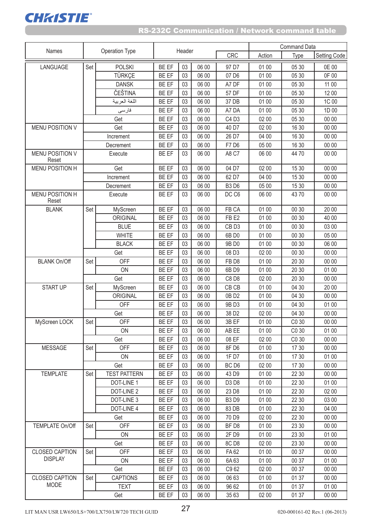

|                                 |     |                     | Header       |    |       |                   |        | <b>Command Data</b> |              |
|---------------------------------|-----|---------------------|--------------|----|-------|-------------------|--------|---------------------|--------------|
| Names                           |     | Operation Type      |              |    |       | <b>CRC</b>        | Action | Type                | Setting Code |
| LANGUAGE                        | Set | <b>POLSKI</b>       | <b>BE EF</b> | 03 | 06 00 | 97 D7             | 01 00  | 05 30               | 0E 00        |
|                                 |     | <b>TÜRKCE</b>       | <b>BE EF</b> | 03 | 06 00 | 07 D6             | 01 00  | 05 30               | 0F 00        |
|                                 |     | <b>DANSK</b>        | BE EF        | 03 | 06 00 | A7 DF             | 01 00  | 05 30               | 11 00        |
|                                 |     | ČEŠTINA             | BE EF        | 03 | 06 00 | 57 DF             | 01 00  | 05 30               | 12 00        |
|                                 |     | اللغة العربية       | <b>BE EF</b> | 03 | 06 00 | 37 DB             | 01 00  | 05 30               | 1C 00        |
|                                 |     | فارسى               | BE EF        | 03 | 06 00 | A7 DA             | 01 00  | 05 30               | 1D 00        |
|                                 |     | Get                 | <b>BE EF</b> | 03 | 06 00 | C4 D3             | 02 00  | 05 30               | 00 00        |
| <b>MENU POSITION V</b>          |     | Get                 | BE EF        | 03 | 06 00 | 40 D7             | 02 00  | 16 30               | 00 00        |
|                                 |     | Increment           | <b>BE EF</b> | 03 | 06 00 | 26 D7             | 04 00  | 16 30               | 00 00        |
|                                 |     | Decrement           | BE EF        | 03 | 06 00 | F7 D6             | 05 00  | 16 30               | 00 00        |
| <b>MENU POSITION V</b><br>Reset |     | Execute             | <b>BE EF</b> | 03 | 06 00 | A8 C7             | 06 00  | 4470                | 00 00        |
| <b>MENU POSITION H</b>          |     | Get                 | <b>BE EF</b> | 03 | 06 00 | 04 D7             | 02 00  | 15 30               | 00 00        |
|                                 |     | Increment           | BE EF        | 03 | 06 00 | 62 D7             | 04 00  | 15 30               | 00 00        |
|                                 |     | Decrement           | <b>BE EF</b> | 03 | 06 00 | <b>B3D6</b>       | 05 00  | 15 30               | 00 00        |
| MENU POSITION H<br>Reset        |     | Execute             | <b>BE EF</b> | 03 | 06 00 | DC C6             | 06 00  | 4370                | 00 00        |
| <b>BLANK</b>                    | Set | MyScreen            | BE EF        | 03 | 06 00 | FB CA             | 01 00  | 00 30               | 20 00        |
|                                 |     | ORIGINAL            | <b>BE EF</b> | 03 | 06 00 | FB <sub>E2</sub>  | 01 00  | 00 30               | 40 00        |
|                                 |     | <b>BLUE</b>         | BE EF        | 03 | 06 00 | CB <sub>D3</sub>  | 01 00  | 00 30               | 03 00        |
|                                 |     | <b>WHITE</b>        | BE EF        | 03 | 06 00 | 6B D0             | 01 00  | 00 30               | 05 00        |
|                                 |     | <b>BLACK</b>        | BE EF        | 03 | 06 00 | 9B D0             | 01 00  | 00 30               | 06 00        |
|                                 |     | Get                 | BE EF        | 03 | 06 00 | 08 D3             | 02 00  | 00 30               | 00 00        |
| <b>BLANK On/Off</b>             | Set | <b>OFF</b>          | <b>BE EF</b> | 03 | 06 00 | FB <sub>D8</sub>  | 01 00  | 20 30               | 00 00        |
|                                 |     | ON                  | BE EF        | 03 | 06 00 | 6B D9             | 01 00  | 20 30               | 01 00        |
|                                 |     | Get                 | <b>BE EF</b> | 03 | 06 00 | C8 D8             | 02 00  | 20 30               | 00 00        |
| <b>START UP</b>                 | Set | MyScreen            | <b>BE EF</b> | 03 | 06 00 | CB CB             | 01 00  | 04 30               | 20 00        |
|                                 |     | ORIGINAL            | BE EF        | 03 | 06 00 | 0B D <sub>2</sub> | 01 00  | 04 30               | 00 00        |
|                                 |     | <b>OFF</b>          | <b>BE EF</b> | 03 | 06 00 | 9B D3             | 01 00  | 04 30               | 01 00        |
|                                 |     | Get                 | <b>BE EF</b> | 03 | 06 00 | 38 D <sub>2</sub> | 02 00  | 04 30               | 00 00        |
| MyScreen LOCK                   | Set | <b>OFF</b>          | <b>BE EF</b> | 03 | 06 00 | 3B EF             | 01 00  | C <sub>0</sub> 30   | 00 00        |
|                                 |     | ON                  | BE EF        | 03 | 06 00 | AB EE             | 01 00  | C0 30               | 01 00        |
|                                 |     | Get                 | <b>BE EF</b> | 03 | 06 00 | 08 EF             | 02 00  | C <sub>0</sub> 30   | 00 00        |
| MESSAGE                         | Set | <b>OFF</b>          | BE EF        | 03 | 06 00 | 8FD6              | 01 00  | 17 30               | 00 00        |
|                                 |     | ON                  | BE EF        | 03 | 06 00 | 1F D7             | 01 00  | 17 30               | 01 00        |
|                                 |     | Get                 | BE EF        | 03 | 06 00 | BC D <sub>6</sub> | 02 00  | 17 30               | 00 00        |
| <b>TEMPLATE</b>                 | Set | <b>TEST PATTERN</b> | <b>BE EF</b> | 03 | 06 00 | 43 D9             | 01 00  | 22 30               | 00 00        |
|                                 |     | DOT-LINE 1          | BE EF        | 03 | 06 00 | D3 D8             | 01 00  | 22 30               | 01 00        |
|                                 |     | DOT-LINE 2          | BE EF        | 03 | 06 00 | 23 D8             | 01 00  | 22 30               | 02 00        |
|                                 |     | DOT-LINE 3          | BE EF        | 03 | 06 00 | <b>B3D9</b>       | 01 00  | 22 30               | 03 00        |
|                                 |     | DOT-LINE 4          | <b>BE EF</b> | 03 | 06 00 | 83 DB             | 01 00  | 22 30               | 04 00        |
|                                 |     | Get                 | BE EF        | 03 | 06 00 | 70 D9             | 02 00  | 22 30               | 00 00        |
| <b>TEMPLATE On/Off</b>          | Set | <b>OFF</b>          | <b>BE EF</b> | 03 | 06 00 | BF D8             | 01 00  | 23 30               | 00 00        |
|                                 |     | ON                  | <b>BE EF</b> | 03 | 06 00 | 2F D9             | 01 00  | 23 30               | 01 00        |
|                                 |     | Get                 | <b>BE EF</b> | 03 | 06 00 | 8C D8             | 02 00  | 23 30               | 00 00        |
| <b>CLOSED CAPTION</b>           | Set | OFF                 | BE EF        | 03 | 06 00 | <b>FA62</b>       | 01 00  | 00 37               | 00 00        |
| <b>DISPLAY</b>                  |     | ON                  | BE EF        | 03 | 06 00 | 6A 63             | 01 00  | 00 37               | 01 00        |
|                                 |     | Get                 | BE EF        | 03 | 06 00 | C962              | 02 00  | 00 37               | 00 00        |
| <b>CLOSED CAPTION</b>           | Set | <b>CAPTIONS</b>     | <b>BE EF</b> | 03 | 06 00 | 06 63             | 01 00  | 01 37               | 00 00        |
| <b>MODE</b>                     |     | <b>TEXT</b>         | <b>BE EF</b> | 03 | 06 00 | 96 62             | 01 00  | 01 37               | 01 00        |
|                                 |     | Get                 | BE EF        | 03 | 06 00 | 35 63             | 02 00  | 01 37               | 00 00        |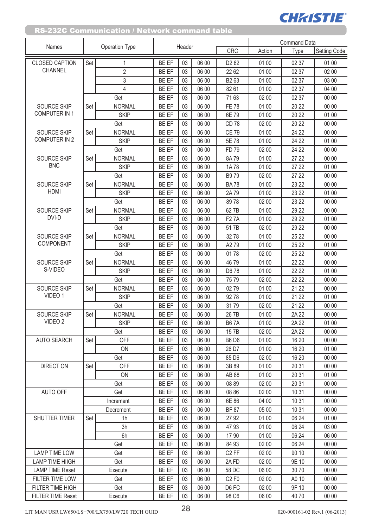|                          | Operation Type |                | Header       |    |       |                               | Command Data |       |                     |  |
|--------------------------|----------------|----------------|--------------|----|-------|-------------------------------|--------------|-------|---------------------|--|
| Names                    |                |                |              |    |       | <b>CRC</b>                    | Action       | Type  | <b>Setting Code</b> |  |
| <b>CLOSED CAPTION</b>    | Set            | 1              | <b>BE EF</b> | 03 | 06 00 | D <sub>2</sub> 6 <sub>2</sub> | 01 00        | 02 37 | 01 00               |  |
| CHANNEL                  |                | $\overline{2}$ | BE EF        | 03 | 06 00 | 22 62                         | 01 00        | 02 37 | 02 00               |  |
|                          |                | 3              | <b>BE EF</b> | 03 | 06 00 | B <sub>263</sub>              | 01 00        | 02 37 | 03 00               |  |
|                          |                | 4              | BE EF        | 03 | 06 00 | 82 61                         | 01 00        | 02 37 | 04 00               |  |
|                          |                | Get            | BE EF        | 03 | 06 00 | 7163                          | 02 00        | 02 37 | 00 00               |  |
| <b>SOURCE SKIP</b>       | Set            | <b>NORMAL</b>  | BE EF        | 03 | 06 00 | <b>FE 78</b>                  | 01 00        | 20 22 | 00 00               |  |
| <b>COMPUTER IN 1</b>     |                | <b>SKIP</b>    | BE EF        | 03 | 06 00 | 6E 79                         | 01 00        | 20 22 | 01 00               |  |
|                          |                | Get            | <b>BE EF</b> | 03 | 06 00 | <b>CD78</b>                   | 02 00        | 20 22 | 00 00               |  |
| <b>SOURCE SKIP</b>       | Set            | <b>NORMAL</b>  | BE EF        | 03 | 06 00 | <b>CE 79</b>                  | 01 00        | 24 22 | 00 00               |  |
| COMPUTER IN 2            |                | <b>SKIP</b>    | BE EF        | 03 | 06 00 | 5E 78                         | 01 00        | 24 22 | 01 00               |  |
|                          |                | Get            | <b>BE EF</b> | 03 | 06 00 | <b>FD79</b>                   | 02 00        | 24 22 | 00 00               |  |
| <b>SOURCE SKIP</b>       | Set            | <b>NORMAL</b>  | BE EF        | 03 | 06 00 | 8A79                          | 01 00        | 27 22 | 00 00               |  |
| <b>BNC</b>               |                | <b>SKIP</b>    | <b>BE EF</b> | 03 | 06 00 | 1A78                          | 01 00        | 27 22 | 01 00               |  |
|                          |                | Get            | <b>BE EF</b> | 03 | 06 00 | B979                          | 02 00        | 27 22 | 00 00               |  |
| <b>SOURCE SKIP</b>       | Set            | <b>NORMAL</b>  | <b>BE EF</b> | 03 | 06 00 | <b>BA78</b>                   | 01 00        | 23 22 | 00 00               |  |
| <b>HDMI</b>              |                | <b>SKIP</b>    | <b>BE EF</b> | 03 | 06 00 | 2A79                          | 01 00        | 23 22 | 01 00               |  |
|                          |                | Get            | BE EF        | 03 | 06 00 | 8978                          | 02 00        | 23 22 | 00 00               |  |
| <b>SOURCE SKIP</b>       | Set            | <b>NORMAL</b>  | <b>BE EF</b> | 03 | 06 00 | 627B                          | 01 00        | 29 22 | 00 00               |  |
| DVI-D                    |                | <b>SKIP</b>    | BE EF        | 03 | 06 00 | <b>F27A</b>                   | 01 00        | 29 22 | 01 00               |  |
|                          |                | Get            | BE EF        | 03 | 06 00 | 517B                          | 02 00        | 29 22 | 00 00               |  |
| <b>SOURCE SKIP</b>       | Set            | <b>NORMAL</b>  | BE EF        | 03 | 06 00 | 3278                          | 01 00        | 25 22 | 00 00               |  |
| COMPONENT                |                | <b>SKIP</b>    | BE EF        | 03 | 06 00 | A279                          | 01 00        | 25 22 | 01 00               |  |
|                          |                | Get            | <b>BE EF</b> | 03 | 06 00 | 0178                          | 02 00        | 25 22 | 00 00               |  |
| SOURCE SKIP              | Set            | <b>NORMAL</b>  | BE EF        | 03 | 06 00 | 4679                          | 01 00        | 22 22 | 00 00               |  |
| S-VIDEO                  |                | <b>SKIP</b>    | <b>BE EF</b> | 03 | 06 00 | D6 78                         | 01 00        | 22 22 | 01 00               |  |
|                          |                | Get            | BE EF        | 03 | 06 00 | 7579                          | 02 00        | 22 22 | 00 00               |  |
| <b>SOURCE SKIP</b>       | Set            | <b>NORMAL</b>  | BE EF        | 03 | 06 00 | 0279                          | 01 00        | 21 22 | 00 00               |  |
| VIDEO 1                  |                | <b>SKIP</b>    | <b>BE EF</b> | 03 | 06 00 | 9278                          | 01 00        | 21 22 | 01 00               |  |
|                          |                | Get            | <b>BE EF</b> | 03 | 06 00 | 3179                          | 02 00        | 21 22 | 00 00               |  |
| <b>SOURCE SKIP</b>       | Set            | <b>NORMAL</b>  | <b>BE EF</b> | 03 | 06 00 | 26 7B                         | 01 00        | 2A 22 | 00 00               |  |
| VIDEO 2                  |                | <b>SKIP</b>    | BE EF        | 03 | 06 00 | <b>B67A</b>                   | 01 00        | 2A 22 | 01 00               |  |
|                          |                | Get            | BE EF        | 03 | 06 00 | 157B                          | 02 00        | 2A 22 | 00 00               |  |
| <b>AUTO SEARCH</b>       | Set            | OFF            | <b>BE EF</b> | 03 | 06 00 | <b>B6D6</b>                   | 01 00        | 16 20 | 00 00               |  |
|                          |                | ON             | BE EF        | 03 | 06 00 | 26 D7                         | 01 00        | 16 20 | 01 00               |  |
|                          |                | Get            | BE EF        | 03 | 06 00 | 85 D6                         | 02 00        | 16 20 | 00 00               |  |
| <b>DIRECT ON</b>         | Set            | OFF            | <b>BE EF</b> | 03 | 06 00 | 3B 89                         | 01 00        | 20 31 | 00 00               |  |
|                          |                | ON             | BE EF        | 03 | 06 00 | AB 88                         | 01 00        | 20 31 | 01 00               |  |
|                          |                | Get            | <b>BE EF</b> | 03 | 06 00 | 08 89                         | 02 00        | 20 31 | 00 00               |  |
| <b>AUTO OFF</b>          |                | Get            | BE EF        | 03 | 06 00 | 08 86                         | 02 00        | 10 31 | 00 00               |  |
|                          |                | Increment      | <b>BE EF</b> | 03 | 06 00 | 6E 86                         | 04 00        | 10 31 | 00 00               |  |
|                          |                | Decrement      | BE EF        | 03 | 06 00 | <b>BF 87</b>                  | 05 00        | 10 31 | 00 00               |  |
| <b>SHUTTER TIMER</b>     | Set            | 1h             | <b>BE EF</b> | 03 | 06 00 | 2792                          | 01 00        | 06 24 | 01 00               |  |
|                          |                | 3h             | BE EF        | 03 | 06 00 | 4793                          | 01 00        | 06 24 | 03 00               |  |
|                          |                | 6h             | BE EF        | 03 | 06 00 | 17 90                         | 01 00        | 06 24 | 06 00               |  |
|                          |                | Get            | <b>BE EF</b> | 03 | 06 00 | 84 93                         | 02 00        | 06 24 | 00 00               |  |
| <b>LAMP TIME LOW</b>     | Get            |                | BE EF        | 03 | 06 00 | C <sub>2</sub> FF             | 02 00        | 90 10 | 00 00               |  |
| <b>LAMP TIME HIIGH</b>   |                | Get            | BE EF        | 03 | 06 00 | 2AFD                          | 02 00        | 9E 10 | 00 00               |  |
| <b>LAMP TIME Reset</b>   |                | Execute        | <b>BE EF</b> | 03 | 06 00 | 58 DC                         | 06 00        | 30 70 | 00 00               |  |
| FILTER TIME LOW          |                | Get            | BE EF        | 03 | 06 00 | C2 F0                         | 02 00        | A0 10 | 00 00               |  |
| FILTER TIME HIGH         |                | Get            | BE EF        | 03 | 06 00 | D6 FC                         | 02 00        | 9F 10 | 00 00               |  |
| <b>FILTER TIME Reset</b> |                | Execute        | BE EF        | 03 | 06 00 | 98 C6                         | 06 00        | 4070  | 00 00               |  |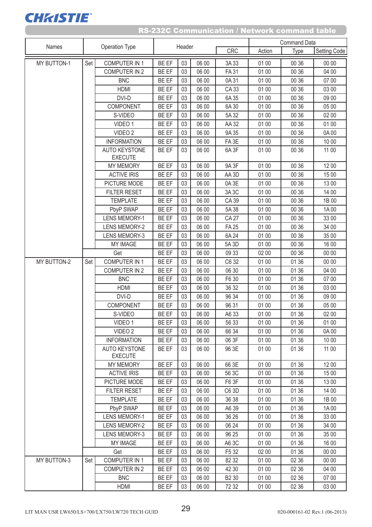| Names              |     |                                        | Header       |    |       |                   |        | <b>Command Data</b> |                     |
|--------------------|-----|----------------------------------------|--------------|----|-------|-------------------|--------|---------------------|---------------------|
|                    |     | <b>Operation Type</b>                  |              |    |       | <b>CRC</b>        | Action | Type                | <b>Setting Code</b> |
| MY BUTTON-1        | Set | <b>COMPUTER IN 1</b>                   | BE EF        | 03 | 06 00 | 3A 33             | 01 00  | 00 36               | 00 00               |
|                    |     | <b>COMPUTER IN 2</b>                   | BE EF        | 03 | 06 00 | <b>FA31</b>       | 01 00  | 00 36               | 04 00               |
|                    |     | <b>BNC</b>                             | BE EF        | 03 | 06 00 | 0A31              | 01 00  | 00 36               | 07 00               |
|                    |     | <b>HDMI</b>                            | BE EF        | 03 | 06 00 | CA 33             | 01 00  | 00 36               | 03 00               |
|                    |     | DVI-D                                  | BE EF        | 03 | 06 00 | 6A 35             | 01 00  | 00 36               | 09 00               |
|                    |     | COMPONENT                              | BE EF        | 03 | 06 00 | 6A 30             | 01 00  | 00 36               | 05 00               |
|                    |     | S-VIDEO                                | <b>BE EF</b> | 03 | 06 00 | 5A 32             | 01 00  | 00 36               | 02 00               |
|                    |     | VIDEO 1                                | BE EF        | 03 | 06 00 | AA 32             | 01 00  | 00 36               | 01 00               |
|                    |     | VIDEO <sub>2</sub>                     | BE EF        | 03 | 06 00 | 9A 35             | 01 00  | 00 36               | 0A 00               |
|                    |     | <b>INFORMATION</b>                     | BE EF        | 03 | 06 00 | FA <sub>3E</sub>  | 01 00  | 00 36               | 10 00               |
|                    |     | <b>AUTO KEYSTONE</b><br><b>EXECUTE</b> | BE EF        | 03 | 06 00 | 6A <sub>3F</sub>  | 01 00  | 00 36               | 11 00               |
|                    |     | <b>MY MEMORY</b>                       | BE EF        | 03 | 06 00 | 9A 3F             | 01 00  | 00 36               | 12 00               |
|                    |     | <b>ACTIVE IRIS</b>                     | BE EF        | 03 | 06 00 | AA3D              | 01 00  | 00 36               | 15 00               |
|                    |     | PICTURE MODE                           | BE EF        | 03 | 06 00 | 0A3E              | 01 00  | 00 36               | 13 00               |
|                    |     | <b>FILTER RESET</b>                    | BE EF        | 03 | 06 00 | 3A3C              | 01 00  | 00 36               | 14 00               |
|                    |     | <b>TEMPLATE</b>                        | BE EF        | 03 | 06 00 | CA 39             | 01 00  | 00 36               | 1B 00               |
|                    |     | PbyP SWAP                              | BE EF        | 03 | 06 00 | 5A 38             | 01 00  | 00 36               | 1A00                |
|                    |     | <b>LENS MEMORY-1</b>                   | BE EF        | 03 | 06 00 | <b>CA 27</b>      | 01 00  | 00 36               | 33 00               |
|                    |     | <b>LENS MEMORY-2</b>                   | BE EF        | 03 | 06 00 | <b>FA 25</b>      | 01 00  | 00 36               | 34 00               |
|                    |     | <b>LENS MEMORY-3</b>                   | <b>BE EF</b> | 03 | 06 00 | 6A 24             | 01 00  | 00 36               | 35 00               |
|                    |     | <b>MY IMAGE</b>                        | BE EF        | 03 | 06 00 | 5A 3D             | 01 00  | 00 36               | 16 00               |
|                    |     | Get                                    | BE EF        | 03 | 06 00 | 09 33             | 02 00  | 00 36               | 00 00               |
| MY BUTTON-2        | Set | <b>COMPUTER IN 1</b>                   | BE EF        | 03 | 06 00 | C6 32             | 01 00  | 01 36               | 00 00               |
|                    |     | <b>COMPUTER IN 2</b>                   | BE EF        | 03 | 06 00 | 06 30             | 01 00  | 01 36               | 04 00               |
|                    |     | <b>BNC</b>                             | BE EF        | 03 | 06 00 | F6 30             | 01 00  | 01 36               | 07 00               |
|                    |     | <b>HDMI</b>                            | BE EF        | 03 | 06 00 | 36 32             | 01 00  | 01 36               | 03 00               |
|                    |     | DVI-D                                  | BE EF        | 03 | 06 00 | 96 34             | 01 00  | 01 36               | 09 00               |
|                    |     | <b>COMPONENT</b>                       | BE EF        | 03 | 06 00 | 96 31             | 01 00  | 01 36               | 05 00               |
|                    |     | S-VIDEO                                | BE EF        | 03 | 06 00 | A6 33             | 01 00  | 01 36               | 02 00               |
|                    |     | VIDEO 1                                | BE EF        | 03 | 06 00 | 56 33             | 01 00  | 01 36               | 01 00               |
|                    |     | VIDEO <sub>2</sub>                     | BE EF        | 03 | 06 00 | 66 34             | 01 00  | 01 36               | 0A00                |
|                    |     | <b>INFORMATION</b>                     | BE EF        | 03 | 06 00 | 06 3F             | 01 00  | 01 36               | 10 00               |
|                    |     | <b>AUTO KEYSTONE</b><br><b>EXECUTE</b> | BE EF        | 03 | 06 00 | 96 3E             | 01 00  | 01 36               | 11 00               |
|                    |     | <b>MY MEMORY</b>                       | BE EF        | 03 | 06 00 | 66 3E             | 01 00  | 01 36               | 1200                |
|                    |     | <b>ACTIVE IRIS</b>                     | BE EF        | 03 | 06 00 | 56 3C             | 01 00  | 01 36               | 15 00               |
|                    |     | PICTURE MODE                           | BE EF        | 03 | 06 00 | F6 3F             | 01 00  | 01 36               | 13 00               |
|                    |     | <b>FILTER RESET</b>                    | BE EF        | 03 | 06 00 | C6 3D             | 01 00  | 01 36               | 14 00               |
|                    |     | <b>TEMPLATE</b>                        | BE EF        | 03 | 06 00 | 36 38             | 01 00  | 01 36               | 1B 00               |
|                    |     | PbyP SWAP                              | <b>BE EF</b> | 03 | 06 00 | A6 39             | 01 00  | 01 36               | 1A00                |
|                    |     | <b>LENS MEMORY-1</b>                   | <b>BE EF</b> | 03 | 06 00 | 36 26             | 01 00  | 01 36               | 33 00               |
|                    |     | <b>LENS MEMORY-2</b>                   | BE EF        | 03 | 06 00 | 06 24             | 01 00  | 01 36               | 34 00               |
|                    |     | <b>LENS MEMORY-3</b>                   | BE EF        | 03 | 06 00 | 96 25             | 01 00  | 01 36               | 35 00               |
|                    |     | <b>MY IMAGE</b>                        | BE EF        | 03 | 06 00 | A6 3C             | 01 00  | 01 36               | 16 00               |
|                    |     | Get                                    | BE EF        | 03 | 06 00 | F5 32             | 02 00  | 01 36               | 00 00               |
| <b>MY BUTTON-3</b> | Set | COMPUTER IN 1                          | BE EF        | 03 | 06 00 | 82 32             | 01 00  | 02 36               | 00 00               |
|                    |     | COMPUTER IN 2                          | BE EF        | 03 | 06 00 | 42 30             | 01 00  | 02 36               | 04 00               |
|                    |     | <b>BNC</b>                             | BE EF        | 03 | 06 00 | B <sub>2</sub> 30 | 01 00  | 02 36               | 07 00               |
|                    |     | <b>HDMI</b>                            | BE EF        | 03 | 06 00 | 72 32             | 01 00  | 02 36               | 03 00               |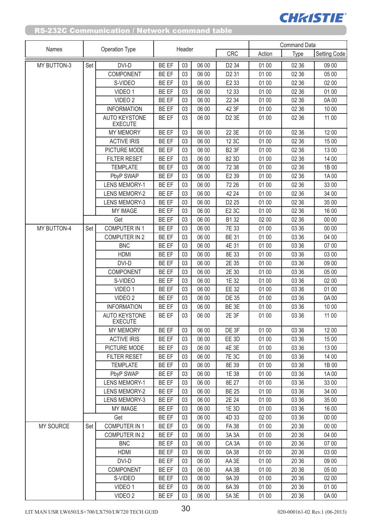| Names              |     |                                        | Header       |    |       |                   |        | <b>Command Data</b> |                     |
|--------------------|-----|----------------------------------------|--------------|----|-------|-------------------|--------|---------------------|---------------------|
|                    |     | Operation Type                         |              |    |       | <b>CRC</b>        | Action | Type                | <b>Setting Code</b> |
| <b>MY BUTTON-3</b> | Set | DVI-D                                  | <b>BE EF</b> | 03 | 06 00 | D <sub>2</sub> 34 | 01 00  | 02 36               | 09 00               |
|                    |     | COMPONENT                              | BE EF        | 03 | 06 00 | D <sub>2</sub> 31 | 01 00  | 02 36               | 05 00               |
|                    |     | S-VIDEO                                | <b>BE EF</b> | 03 | 06 00 | E2 33             | 01 00  | 02 36               | 02 00               |
|                    |     | VIDEO 1                                | BE EF        | 03 | 06 00 | 12 33             | 01 00  | 02 36               | 01 00               |
|                    |     | VIDEO <sub>2</sub>                     | BE EF        | 03 | 06 00 | 22 34             | 01 00  | 02 36               | 0A 00               |
|                    |     | <b>INFORMATION</b>                     | BE EF        | 03 | 06 00 | 42 3F             | 01 00  | 02 36               | 10 00               |
|                    |     | <b>AUTO KEYSTONE</b><br><b>EXECUTE</b> | BE EF        | 03 | 06 00 | D2 3E             | 01 00  | 02 36               | 11 00               |
|                    |     | <b>MY MEMORY</b>                       | BE EF        | 03 | 06 00 | 22 3E             | 01 00  | 02 36               | 1200                |
|                    |     | <b>ACTIVE IRIS</b>                     | BE EF        | 03 | 06 00 | 12 3C             | 01 00  | 02 36               | 15 00               |
|                    |     | PICTURE MODE                           | <b>BE EF</b> | 03 | 06 00 | <b>B2 3F</b>      | 01 00  | 02 36               | 13 00               |
|                    |     | <b>FILTER RESET</b>                    | BE EF        | 03 | 06 00 | 82 3D             | 01 00  | 02 36               | 14 00               |
|                    |     | <b>TEMPLATE</b>                        | BE EF        | 03 | 06 00 | 72 38             | 01 00  | 02 36               | 1B 00               |
|                    |     | PbyP SWAP                              | BE EF        | 03 | 06 00 | E2 39             | 01 00  | 02 36               | 1A00                |
|                    |     | <b>LENS MEMORY-1</b>                   | BE EF        | 03 | 06 00 | 72 26             | 01 00  | 02 36               | 33 00               |
|                    |     | <b>LENS MEMORY-2</b>                   | BE EF        | 03 | 06 00 | 42 24             | 01 00  | 02 36               | 34 00               |
|                    |     | <b>LENS MEMORY-3</b>                   | BE EF        | 03 | 06 00 | D <sub>2</sub> 25 | 01 00  | 02 36               | 35 00               |
|                    |     | <b>MY IMAGE</b>                        | BE EF        | 03 | 06 00 | E2 3C             | 01 00  | 02 36               | 16 00               |
|                    |     | Get                                    | <b>BE EF</b> | 03 | 06 00 | B1 32             | 02 00  | 02 36               | 00 00               |
| <b>MY BUTTON-4</b> | Set | COMPUTER IN 1                          | BE EF        | 03 | 06 00 | 7E 33             | 01 00  | 03 36               | 00 00               |
|                    |     | COMPUTER IN 2                          | <b>BE EF</b> | 03 | 06 00 | <b>BE 31</b>      | 01 00  | 03 36               | 04 00               |
|                    |     | <b>BNC</b>                             | BE EF        | 03 | 06 00 | 4E 31             | 01 00  | 03 36               | 07 00               |
|                    |     | <b>HDMI</b>                            | BE EF        | 03 | 06 00 | 8E 33             | 01 00  | 03 36               | 03 00               |
|                    |     | DVI-D                                  | <b>BE EF</b> | 03 | 06 00 | 2E 35             | 01 00  | 03 36               | 09 00               |
|                    |     | COMPONENT                              | BE EF        | 03 | 06 00 | 2E 30             | 01 00  | 03 36               | 05 00               |
|                    |     | S-VIDEO                                | BE EF        | 03 | 06 00 | 1E 32             | 01 00  | 03 36               | 02 00               |
|                    |     | VIDEO 1                                | BE EF        | 03 | 06 00 | EE 32             | 01 00  | 03 36               | 01 00               |
|                    |     | VIDEO <sub>2</sub>                     | BE EF        | 03 | 06 00 | <b>DE 35</b>      | 01 00  | 03 36               | 0A 00               |
|                    |     | <b>INFORMATION</b>                     | BE EF        | 03 | 06 00 | BE <sub>3E</sub>  | 01 00  | 03 36               | 10 00               |
|                    |     | <b>AUTO KEYSTONE</b>                   | <b>BE EF</b> | 03 | 06 00 | 2E 3F             | 01 00  | 03 36               | 11 00               |
|                    |     | <b>EXECUTE</b><br><b>MY MEMORY</b>     | BE EF        | 03 | 06 00 | DE 3F             | 01 00  | 03 36               | 12 00               |
|                    |     |                                        | BE EF        | 03 | 06 00 | EE 3D             | 01 00  | 03 36               | 15 00               |
|                    |     | <b>ACTIVE IRIS</b>                     |              |    |       |                   |        |                     |                     |
|                    |     | PICTURE MODE                           | BE EF        | 03 | 06 00 | 4E 3E             | 01 00  | 03 36               | 13 00               |
|                    |     | <b>FILTER RESET</b>                    | BE EF        | 03 | 06 00 | <b>7E 3C</b>      | 01 00  | 03 36               | 14 00               |
|                    |     | <b>TEMPLATE</b>                        | BE EF        | 03 | 06 00 | 8E 39             | 01 00  | 03 36               | 1B 00               |
|                    |     | PbyP SWAP                              | BE EF        | 03 | 06 00 | 1E 38             | 01 00  | 03 36               | 1A00                |
|                    |     | <b>LENS MEMORY-1</b>                   | <b>BE EF</b> | 03 | 06 00 | 8E 27             | 01 00  | 03 36               | 33 00               |
|                    |     | <b>LENS MEMORY-2</b>                   | BE EF        | 03 | 06 00 | <b>BE 25</b>      | 01 00  | 03 36               | 34 00               |
|                    |     | <b>LENS MEMORY-3</b>                   | <b>BE EF</b> | 03 | 06 00 | 2E 24             | 01 00  | 03 36               | 35 00               |
|                    |     | <b>MY IMAGE</b>                        | BE EF        | 03 | 06 00 | 1E 3D             | 01 00  | 03 36               | 16 00               |
|                    |     | Get                                    | BE EF        | 03 | 06 00 | 4D 33             | 02 00  | 03 36               | 00 00               |
| <b>MY SOURCE</b>   | Set | <b>COMPUTER IN 1</b>                   | BE EF        | 03 | 06 00 | <b>FA38</b>       | 01 00  | 20 36               | 00 00               |
|                    |     | <b>COMPUTER IN 2</b>                   | <b>BE EF</b> | 03 | 06 00 | 3A 3A             | 01 00  | 20 36               | 04 00               |
|                    |     | <b>BNC</b>                             | BE EF        | 03 | 06 00 | CA <sub>3</sub> A | 01 00  | 20 36               | 07 00               |
|                    |     | <b>HDMI</b>                            | BE EF        | 03 | 06 00 | 0A 38             | 01 00  | 20 36               | 03 00               |
|                    |     | DVI-D                                  | BE EF        | 03 | 06 00 | AA 3E             | 01 00  | 20 36               | 09 00               |
|                    |     | COMPONENT                              | <b>BE EF</b> | 03 | 06 00 | AA 3B             | 01 00  | 20 36               | 05 00               |
|                    |     | S-VIDEO                                | BE EF        | 03 | 06 00 | 9A 39             | 01 00  | 20 36               | 02 00               |
|                    |     | VIDEO 1                                | <b>BE EF</b> | 03 | 06 00 | 6A 39             | 01 00  | 20 36               | 01 00               |
|                    |     | VIDEO <sub>2</sub>                     | BE EF        | 03 | 06 00 | 5A 3E             | 01 00  | 20 36               | 0A 00               |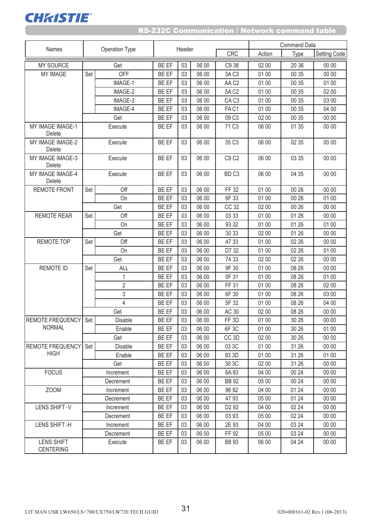

| Names                                 | <b>Operation Type</b> |                | Header       |    |       |                               | <b>Command Data</b> |       |              |  |
|---------------------------------------|-----------------------|----------------|--------------|----|-------|-------------------------------|---------------------|-------|--------------|--|
|                                       |                       |                |              |    |       |                               | Action              | Type  | Setting Code |  |
| <b>MY SOURCE</b>                      |                       | Get            | BE EF        | 03 | 06 00 | C9 38                         | 02 00               | 20 36 | 00 00        |  |
| <b>MY IMAGE</b>                       | Set                   | OFF            | <b>BE EF</b> | 03 | 06 00 | 3A C <sub>3</sub>             | 01 00               | 00 35 | 00 00        |  |
|                                       |                       | IMAGE-1        | <b>BE EF</b> | 03 | 06 00 | AAC2                          | 01 00               | 00 35 | 01 00        |  |
|                                       |                       | IMAGE-2        | <b>BE EF</b> | 03 | 06 00 | 5A C <sub>2</sub>             | 01 00               | 00 35 | 02 00        |  |
|                                       |                       | IMAGE-3        | <b>BE EF</b> | 03 | 06 00 | CA <sub>C</sub> 3             | 01 00               | 00 35 | 03 00        |  |
|                                       |                       | IMAGE-4        | <b>BE EF</b> | 03 | 06 00 | FAC1                          | 01 00               | 00 35 | 04 00        |  |
|                                       |                       | Get            | BE EF        | 03 | 06 00 | 09 C3                         | 02 00               | 00 35 | 00 00        |  |
| MY IMAGE IMAGE-1<br>Delete            |                       | Execute        | BE EF        | 03 | 06 00 | 71 C <sub>3</sub>             | 06 00               | 01 35 | 00 00        |  |
| MY IMAGE IMAGE-2<br>Delete            |                       | Execute        | BE EF        | 03 | 06 00 | 35 C <sub>3</sub>             | 06 00               | 02 35 | 00 00        |  |
| MY IMAGE IMAGE-3<br>Delete            |                       | Execute        | BE EF        | 03 | 06 00 | C9 C2                         | 06 00               | 03 35 | 00 00        |  |
| MY IMAGE IMAGE-4<br>Delete            |                       | Execute        | BE EF        | 03 | 06 00 | BD <sub>C3</sub>              | 06 00               | 04 35 | 00 00        |  |
| <b>REMOTE FRONT</b>                   | Set                   | Off            | BE EF        | 03 | 06 00 | FF 32                         | 01 00               | 00 26 | 00 00        |  |
|                                       |                       | On             | BE EF        | 03 | 06 00 | 6F 33                         | 01 00               | 00 26 | 01 00        |  |
|                                       |                       | Get            | <b>BE EF</b> | 03 | 06 00 | CC 32                         | 02 00               | 00 26 | 00 00        |  |
| <b>REMOTE REAR</b>                    | Set                   | Off            | BE EF        | 03 | 06 00 | 03 33                         | 01 00               | 01 26 | 00 00        |  |
|                                       |                       | On             | BE EF        | 03 | 06 00 | 93 32                         | 01 00               | 01 26 | 01 00        |  |
|                                       |                       | Get            | BE EF        | 03 | 06 00 | 30 33                         | 02 00               | 01 26 | 00 00        |  |
| <b>REMOTE TOP</b>                     | Set                   | Off            | <b>BE EF</b> | 03 | 06 00 | 47 33                         | 01 00               | 02 26 | 00 00        |  |
|                                       |                       | On             | BE EF        | 03 | 06 00 | D7 32                         | 01 00               | 02 26 | 01 00        |  |
|                                       |                       | Get            | BE EF        | 03 | 06 00 | 74 33                         | 02 00               | 02 26 | 00 00        |  |
| <b>REMOTE ID</b>                      | Set                   | ALL            | BE EF        | 03 | 06 00 | 9F 30                         | 01 00               | 08 26 | 00 00        |  |
|                                       |                       | 1              | BE EF        | 03 | 06 00 | 0F 31                         | 01 00               | 08 26 | 01 00        |  |
|                                       |                       | $\overline{2}$ | BE EF        | 03 | 06 00 | FF 31                         | 01 00               | 08 26 | 02 00        |  |
|                                       |                       | 3              | BE EF        | 03 | 06 00 | 6F 30                         | 01 00               | 08 26 | 03 00        |  |
|                                       |                       | 4              | <b>BE EF</b> | 03 | 06 00 | 5F 32                         | 01 00               | 08 26 | 04 00        |  |
|                                       |                       | Get            | BE EF        | 03 | 06 00 | AC 30                         | 02 00               | 08 26 | 00 00        |  |
| <b>REMOTE FREQUENCY</b>               | Set                   | Disable        | BE EF        | 03 | 06 00 | FF <sub>3D</sub>              | 01 00               | 30 26 | 00 00        |  |
| <b>NORMAL</b>                         |                       | Enable         | <b>BE EF</b> | 03 | 06 00 | 6F <sub>3C</sub>              | 01 00               | 30 26 | 01 00        |  |
|                                       |                       | Get            | BE EF        | 03 | 06 00 | CC <sub>3D</sub>              | 02 00               | 30 26 | 00 00        |  |
| <b>REMOTE FREQUENCY</b>               | Set                   | <b>Disable</b> | BE EF        | 03 | 06 00 | 03 3C                         | 01 00               | 31 26 | 00 00        |  |
| <b>HIGH</b>                           |                       | Enable         | <b>BE EF</b> | 03 | 06 00 | 93 3D                         | 01 00               | 31 26 | 01 00        |  |
|                                       |                       | Get            | BE EF        | 03 | 06 00 | 30 3C                         | 02 00               | 31 26 | 00 00        |  |
| <b>FOCUS</b>                          |                       | Increment      | BE EF        | 03 | 06 00 | 6A 93                         | 04 00               | 00 24 | 00 00        |  |
|                                       |                       | Decrement      | <b>BE EF</b> | 03 | 06 00 | <b>BB 92</b>                  | 05 00               | 00 24 | 00 00        |  |
| ZOOM                                  |                       | Increment      | BE EF        | 03 | 06 00 | 96 92                         | 04 00               | 01 24 | 00 00        |  |
|                                       |                       | Decrement      | <b>BE EF</b> | 03 | 06 00 | 4793                          | 05 00               | 01 24 | 00 00        |  |
| LENS SHIFT-V                          |                       | Increment      | BE EF        | 03 | 06 00 | D <sub>2</sub> 9 <sub>2</sub> | 04 00               | 02 24 | 00 00        |  |
|                                       |                       | Decrement      | <b>BE EF</b> | 03 | 06 00 | 03 93                         | 05 00               | 02 24 | 00 00        |  |
| LENS SHIFT-H                          |                       | Increment      | <b>BE EF</b> | 03 | 06 00 | 2E 93                         | 04 00               | 03 24 | 00 00        |  |
|                                       |                       | Decrement      | <b>BE EF</b> | 03 | 06 00 | FF 92                         | 05 00               | 03 24 | 00 00        |  |
| <b>LENS SHIFT</b><br><b>CENTERING</b> |                       | Execute        | <b>BE EF</b> | 03 | 06 00 | B8 93                         | 06 00               | 04 24 | 00 00        |  |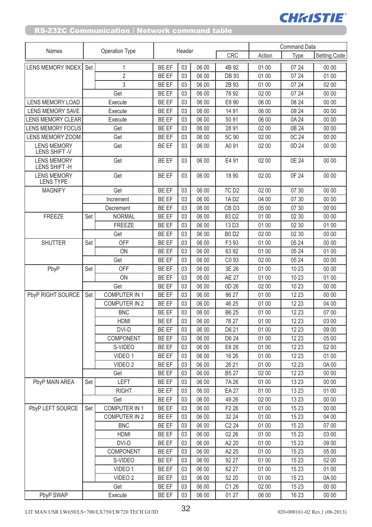|                                        |                |                      |              |        |       |                   |        | <b>Command Data</b> |                     |
|----------------------------------------|----------------|----------------------|--------------|--------|-------|-------------------|--------|---------------------|---------------------|
| Names                                  | Operation Type |                      |              | Header |       | <b>CRC</b>        | Action | Type                | <b>Setting Code</b> |
| LENS MEMORY INDEX Set                  |                | $\mathbf{1}$         | <b>BE EF</b> | 03     | 06 00 | 4B 92             | 01 00  | 07 24               | 00 00               |
|                                        |                | $\overline{2}$       | BE EF        | 03     | 06 00 | <b>DB 93</b>      | 01 00  | 07 24               | 01 00               |
|                                        |                | 3                    | BE EF        | 03     | 06 00 | 2B 93             | 01 00  | 07 24               | 02 00               |
|                                        |                | Get                  | BE EF        | 03     | 06 00 | 78 92             | 02 00  | 07 24               | 00 00               |
| LENS MEMORY LOAD                       |                | Execute              | BE EF        | 03     | 06 00 | E8 90             | 06 00  | 08 24               | 00 00               |
| <b>LENS MEMORY SAVE</b>                |                | Execute              | BE EF        | 03     | 06 00 | 14 91             | 06 00  | 09 24               | 00 00               |
| <b>LENS MEMORY CLEAR</b>               |                | Execute              | BE EF        | 03     | 06 00 | 5091              | 06 00  | 0A 24               | 00 00               |
| <b>LENS MEMORY FOCUS</b>               |                | Get                  | BE EF        | 03     | 06 00 | 2891              | 02 00  | 0B 24               | 00 00               |
| LENS MEMORY ZOOM                       |                | Get                  | BE EF        | 03     | 06 00 | 5C 90             | 02 00  | 0C 24               | 00 00               |
| <b>LENS MEMORY</b><br>LENS SHIFT-V     |                | Get                  | <b>BE EF</b> | 03     | 06 00 | A0 91             | 02 00  | 0D 24               | 00 00               |
| <b>LENS MEMORY</b><br>LENS SHIFT-H     |                | Get                  | BE EF        | 03     | 06 00 | E4 91             | 02 00  | 0E 24               | 00 00               |
| <b>LENS MEMORY</b><br><b>LENS TYPE</b> |                | Get                  | BE EF        | 03     | 06 00 | 18 90             | 02 00  | 0F 24               | 00 00               |
| <b>MAGNIFY</b>                         |                | Get                  | BE EF        | 03     | 06 00 | 7C D <sub>2</sub> | 02 00  | 07 30               | 00 00               |
|                                        |                | Increment            | <b>BE EF</b> | 03     | 06 00 | 1AD2              | 04 00  | 07 30               | 00 00               |
|                                        |                | Decrement            | BE EF        | 03     | 06 00 | CB <sub>D3</sub>  | 05 00  | 07 30               | 00 00               |
| <b>FREEZE</b>                          | Set            | <b>NORMAL</b>        | BE EF        | 03     | 06 00 | 83 D <sub>2</sub> | 01 00  | 02 30               | 00 00               |
|                                        |                | <b>FREEZE</b>        | BE EF        | 03     | 06 00 | 13 D <sub>3</sub> | 01 00  | 02 30               | 01 00               |
|                                        |                | Get                  | BE EF        | 03     | 06 00 | <b>B0 D2</b>      | 02 00  | 02 30               | 00 00               |
| <b>SHUTTER</b>                         | Set            | OFF                  | BE EF        | 03     | 06 00 | F3 93             | 01 00  | 05 24               | 00 00               |
|                                        |                | ON                   | BE EF        | 03     | 06 00 | 63 92             | 01 00  | 05 24               | 01 00               |
|                                        |                | Get                  | <b>BE EF</b> | 03     | 06 00 | C <sub>0</sub> 93 | 02 00  | 05 24               | 00 00               |
| PbyP                                   | Set            | OFF                  | BE EF        | 03     | 06 00 | 3E 26             | 01 00  | 10 23               | 00 00               |
|                                        |                | ON                   | BE EF        | 03     | 06 00 | <b>AE 27</b>      | 01 00  | 10 23               | 01 00               |
|                                        |                | Get                  | BE EF        | 03     | 06 00 | 0D 26             | 02 00  | 10 23               | 00 00               |
| PbyP RIGHT SOURCE                      | Set            | <b>COMPUTER IN 1</b> | BE EF        | 03     | 06 00 | 86 27             | 01 00  | 12 23               | 00 00               |
|                                        |                | <b>COMPUTER IN 2</b> | <b>BE EF</b> | 03     | 06 00 | 46 25             | 01 00  | 12 23               | 04 00               |
|                                        |                | <b>BNC</b>           | BE EF        | 03     | 06 00 | B6 25             | 01 00  | 12 23               | 07 00               |
|                                        |                | <b>HDMI</b>          | <b>BE EF</b> | 03     | 06 00 | 76 27             | 01 00  | 12 23               | 03 00               |
|                                        |                | DVI-D                | BE EF        | 03     | 06 00 | D6 21             | 01 00  | 12 23               | 09 00               |
|                                        |                | COMPONENT            | <b>BE EF</b> | 03     | 06 00 | D6 24             | 01 00  | 12 23               | 05 00               |
|                                        |                | S-VIDEO              | BE EF        | 03     | 06 00 | E6 26             | 01 00  | 12 23               | 02 00               |
|                                        |                | VIDEO 1              | BE EF        | 03     | 06 00 | 16 26             | 01 00  | 12 23               | 01 00               |
|                                        |                | VIDEO <sub>2</sub>   | BE EF        | 03     | 06 00 | 26 21             | 01 00  | 12 23               | 0A00                |
|                                        |                | Get                  | BE EF        | 03     | 06 00 | <b>B527</b>       | 02 00  | 12 23               | 00 00               |
| PbyP MAIN AREA                         | Set            | LEFT                 | BE EF        | 03     | 06 00 | 7A 26             | 01 00  | 13 23               | 00 00               |
|                                        |                | <b>RIGHT</b>         | BE EF        | 03     | 06 00 | <b>EA 27</b>      | 01 00  | 13 23               | 01 00               |
|                                        |                | Get                  | BE EF        | 03     | 06 00 | 49 26             | 02 00  | 13 23               | 00 00               |
| PbyP LEFT SOURCE                       | Set            | <b>COMPUTER IN 1</b> | BE EF        | 03     | 06 00 | F <sub>2</sub> 26 | 01 00  | 15 23               | 00 00               |
|                                        |                | <b>COMPUTER IN 2</b> | BE EF        | 03     | 06 00 | 32 24             | 01 00  | 15 23               | 04 00               |
|                                        |                | <b>BNC</b>           | <b>BE EF</b> | 03     | 06 00 | C224              | 01 00  | 15 23               | 07 00               |
|                                        |                | <b>HDMI</b>          | BE EF        | 03     | 06 00 | 02 26             | 01 00  | 15 23               | 03 00               |
|                                        |                | DVI-D                | BE EF        | 03     | 06 00 | A2 20             | 01 00  | 15 23               | 09 00               |
|                                        |                | COMPONENT            | BE EF        | 03     | 06 00 | A2 25             | 01 00  | 15 23               | 05 00               |
|                                        |                | S-VIDEO              | BE EF        | 03     | 06 00 | 92 27             | 01 00  | 15 23               | 02 00               |
|                                        |                | VIDEO 1              | BE EF        | 03     | 06 00 | 62 27             | 01 00  | 15 23               | 01 00               |
|                                        |                | VIDEO <sub>2</sub>   | <b>BE EF</b> | 03     | 06 00 | 52 20             | 01 00  | 15 23               | 0A00                |
|                                        |                | Get                  | <b>BE EF</b> | 03     | 06 00 | C1 26             | 02 00  | 15 23               | 00 00               |
| PbvP SWAP                              |                | Execute              | BE EF        | 03     | 06 00 | 01 27             | 06 00  | 16 23               | 00 00               |